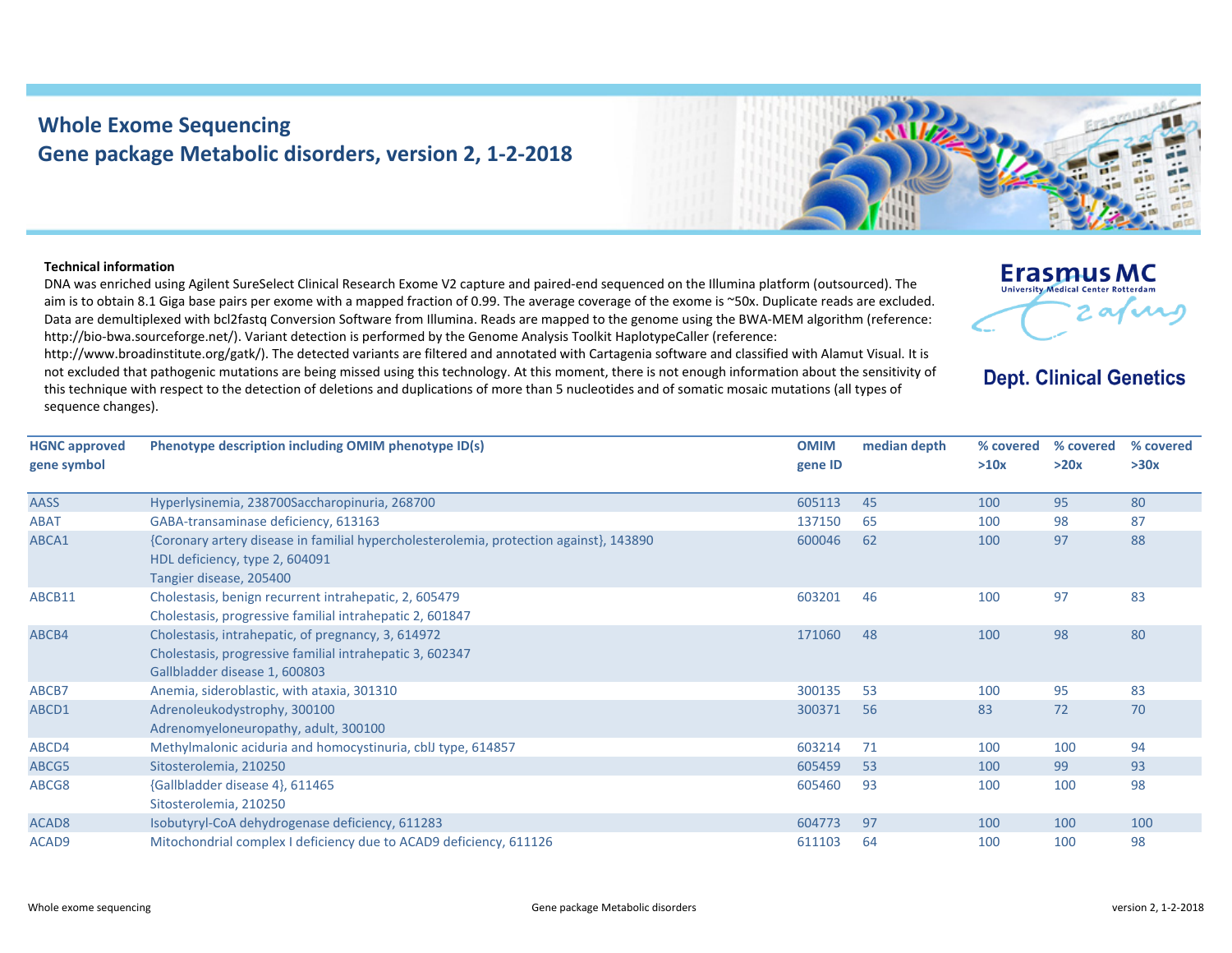## **Whole Exome Sequencing Gene package Metabolic disorders, version 2, 1‐2‐2018**



## **Technical information**

DNA was enriched using Agilent SureSelect Clinical Research Exome V2 capture and paired‐end sequenced on the Illumina platform (outsourced). The aim is to obtain 8.1 Giga base pairs per exome with <sup>a</sup> mapped fraction of 0.99. The average coverage of the exome is ~50x. Duplicate reads are excluded. Data are demultiplexed with bcl2fastq Conversion Software from Illumina. Reads are mapped to the genome using the BWA‐MEM algorithm (reference: http://bio-bwa.sourceforge.net/). Variant detection is performed by the Genome Analysis Toolkit HaplotypeCaller (reference:

http://www.broadinstitute.org/gatk/). The detected variants are filtered and annotated with Cartagenia software and classified with Alamut Visual. It is not excluded that pathogenic mutations are being missed using this technology. At this moment, there is not enough information about the sensitivity of this technique with respect to the detection of deletions and duplications of more than 5 nucleotides and of somatic mosaic mutations (all types of sequence changes).



**Dept. Clinical Genetics** 

| <b>HGNC approved</b> | Phenotype description including OMIM phenotype ID(s)                                   | <b>OMIM</b> | median depth | % covered | % covered | % covered |
|----------------------|----------------------------------------------------------------------------------------|-------------|--------------|-----------|-----------|-----------|
| gene symbol          |                                                                                        | gene ID     |              | >10x      | >20x      | >30x      |
|                      |                                                                                        |             |              |           |           |           |
| <b>AASS</b>          | Hyperlysinemia, 238700Saccharopinuria, 268700                                          | 605113      | 45           | 100       | 95        | 80        |
| <b>ABAT</b>          | GABA-transaminase deficiency, 613163                                                   | 137150      | 65           | 100       | 98        | 87        |
| ABCA1                | {Coronary artery disease in familial hypercholesterolemia, protection against}, 143890 | 600046      | 62           | 100       | 97        | 88        |
|                      | HDL deficiency, type 2, 604091                                                         |             |              |           |           |           |
|                      | Tangier disease, 205400                                                                |             |              |           |           |           |
| ABCB11               | Cholestasis, benign recurrent intrahepatic, 2, 605479                                  | 603201      | 46           | 100       | 97        | 83        |
|                      | Cholestasis, progressive familial intrahepatic 2, 601847                               |             |              |           |           |           |
| ABCB4                | Cholestasis, intrahepatic, of pregnancy, 3, 614972                                     | 171060      | 48           | 100       | 98        | 80        |
|                      | Cholestasis, progressive familial intrahepatic 3, 602347                               |             |              |           |           |           |
|                      | Gallbladder disease 1, 600803                                                          |             |              |           |           |           |
| ABCB7                | Anemia, sideroblastic, with ataxia, 301310                                             | 300135      | 53           | 100       | 95        | 83        |
| ABCD1                | Adrenoleukodystrophy, 300100                                                           | 300371      | 56           | 83        | 72        | 70        |
|                      | Adrenomyeloneuropathy, adult, 300100                                                   |             |              |           |           |           |
| ABCD4                | Methylmalonic aciduria and homocystinuria, cblJ type, 614857                           | 603214      | 71           | 100       | 100       | 94        |
| ABCG5                | Sitosterolemia, 210250                                                                 | 605459      | 53           | 100       | 99        | 93        |
| ABCG8                | {Gallbladder disease 4}, 611465                                                        | 605460      | 93           | 100       | 100       | 98        |
|                      | Sitosterolemia, 210250                                                                 |             |              |           |           |           |
| ACAD <sub>8</sub>    | Isobutyryl-CoA dehydrogenase deficiency, 611283                                        | 604773      | 97           | 100       | 100       | 100       |
| ACAD9                | Mitochondrial complex I deficiency due to ACAD9 deficiency, 611126                     | 611103      | 64           | 100       | 100       | 98        |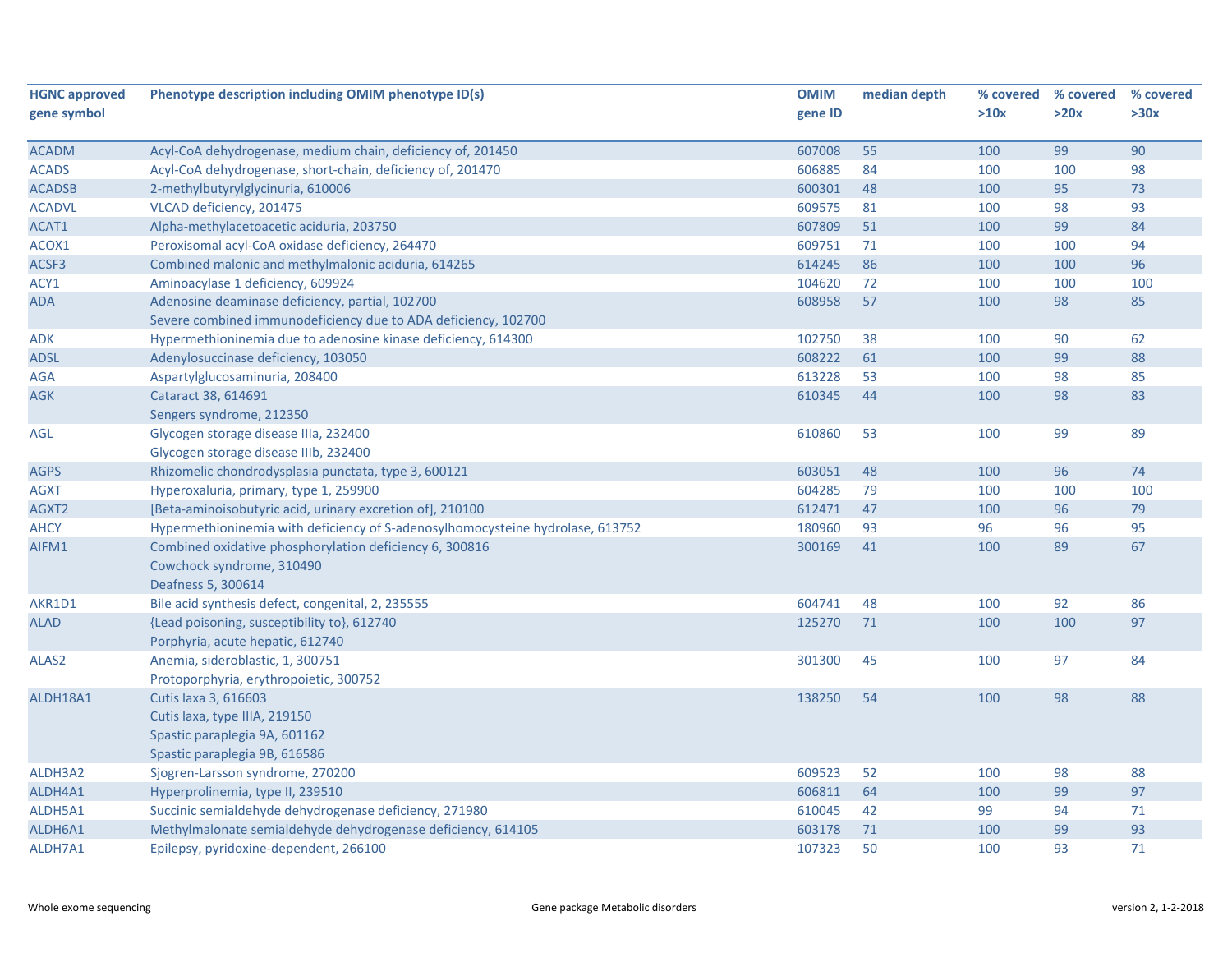| <b>HGNC approved</b> | Phenotype description including OMIM phenotype ID(s)                           | <b>OMIM</b> | median depth |      | % covered % covered | % covered |
|----------------------|--------------------------------------------------------------------------------|-------------|--------------|------|---------------------|-----------|
| gene symbol          |                                                                                | gene ID     |              | >10x | >20x                | >30x      |
|                      |                                                                                |             |              |      |                     |           |
| <b>ACADM</b>         | Acyl-CoA dehydrogenase, medium chain, deficiency of, 201450                    | 607008      | 55           | 100  | 99                  | 90        |
| <b>ACADS</b>         | Acyl-CoA dehydrogenase, short-chain, deficiency of, 201470                     | 606885      | 84           | 100  | 100                 | 98        |
| <b>ACADSB</b>        | 2-methylbutyrylglycinuria, 610006                                              | 600301      | 48           | 100  | 95                  | 73        |
| <b>ACADVL</b>        | VLCAD deficiency, 201475                                                       | 609575      | 81           | 100  | 98                  | 93        |
| ACAT1                | Alpha-methylacetoacetic aciduria, 203750                                       | 607809      | 51           | 100  | 99                  | 84        |
| ACOX1                | Peroxisomal acyl-CoA oxidase deficiency, 264470                                | 609751      | 71           | 100  | 100                 | 94        |
| ACSF3                | Combined malonic and methylmalonic aciduria, 614265                            | 614245      | 86           | 100  | 100                 | 96        |
| ACY1                 | Aminoacylase 1 deficiency, 609924                                              | 104620      | 72           | 100  | 100                 | 100       |
| <b>ADA</b>           | Adenosine deaminase deficiency, partial, 102700                                | 608958      | 57           | 100  | 98                  | 85        |
|                      | Severe combined immunodeficiency due to ADA deficiency, 102700                 |             |              |      |                     |           |
| ADK                  | Hypermethioninemia due to adenosine kinase deficiency, 614300                  | 102750      | 38           | 100  | 90                  | 62        |
| <b>ADSL</b>          | Adenylosuccinase deficiency, 103050                                            | 608222      | 61           | 100  | 99                  | 88        |
| AGA                  | Aspartylglucosaminuria, 208400                                                 | 613228      | 53           | 100  | 98                  | 85        |
| <b>AGK</b>           | Cataract 38, 614691                                                            | 610345      | 44           | 100  | 98                  | 83        |
|                      | Sengers syndrome, 212350                                                       |             |              |      |                     |           |
| AGL                  | Glycogen storage disease IIIa, 232400                                          | 610860      | 53           | 100  | 99                  | 89        |
|                      | Glycogen storage disease IIIb, 232400                                          |             |              |      |                     |           |
| <b>AGPS</b>          | Rhizomelic chondrodysplasia punctata, type 3, 600121                           | 603051      | 48           | 100  | 96                  | 74        |
| <b>AGXT</b>          | Hyperoxaluria, primary, type 1, 259900                                         | 604285      | 79           | 100  | 100                 | 100       |
| AGXT2                | [Beta-aminoisobutyric acid, urinary excretion of], 210100                      | 612471      | 47           | 100  | 96                  | 79        |
| <b>AHCY</b>          | Hypermethioninemia with deficiency of S-adenosylhomocysteine hydrolase, 613752 | 180960      | 93           | 96   | 96                  | 95        |
| AIFM1                | Combined oxidative phosphorylation deficiency 6, 300816                        | 300169      | 41           | 100  | 89                  | 67        |
|                      | Cowchock syndrome, 310490                                                      |             |              |      |                     |           |
|                      | Deafness 5, 300614                                                             |             |              |      |                     |           |
| AKR1D1               | Bile acid synthesis defect, congenital, 2, 235555                              | 604741      | 48           | 100  | 92                  | 86        |
| <b>ALAD</b>          | {Lead poisoning, susceptibility to}, 612740                                    | 125270      | 71           | 100  | 100                 | 97        |
|                      | Porphyria, acute hepatic, 612740                                               |             |              |      |                     |           |
| ALAS <sub>2</sub>    | Anemia, sideroblastic, 1, 300751                                               | 301300      | 45           | 100  | 97                  | 84        |
|                      | Protoporphyria, erythropoietic, 300752                                         |             |              |      |                     |           |
| ALDH18A1             | Cutis laxa 3, 616603                                                           | 138250      | 54           | 100  | 98                  | 88        |
|                      | Cutis laxa, type IIIA, 219150                                                  |             |              |      |                     |           |
|                      | Spastic paraplegia 9A, 601162                                                  |             |              |      |                     |           |
|                      | Spastic paraplegia 9B, 616586                                                  |             |              |      |                     |           |
| ALDH3A2              | Sjogren-Larsson syndrome, 270200                                               | 609523      | 52           | 100  | 98                  | 88        |
| ALDH4A1              | Hyperprolinemia, type II, 239510                                               | 606811      | 64           | 100  | 99                  | 97        |
| ALDH5A1              | Succinic semialdehyde dehydrogenase deficiency, 271980                         | 610045      | 42           | 99   | 94                  | 71        |
| ALDH6A1              | Methylmalonate semialdehyde dehydrogenase deficiency, 614105                   | 603178      | 71           | 100  | 99                  | 93        |
| ALDH7A1              | Epilepsy, pyridoxine-dependent, 266100                                         | 107323      | 50           | 100  | 93                  | 71        |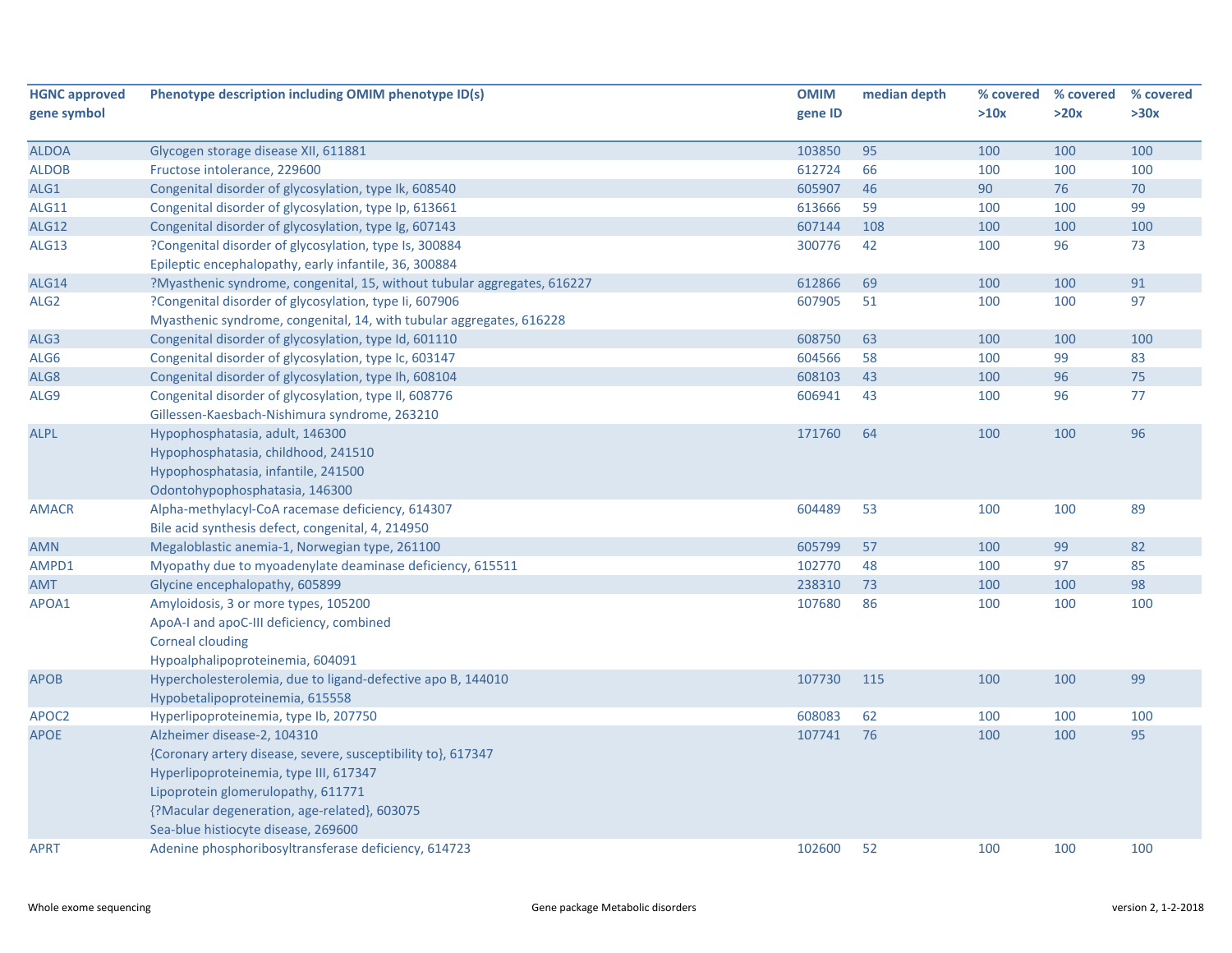| <b>HGNC approved</b> | Phenotype description including OMIM phenotype ID(s)                     | <b>OMIM</b> | median depth | % covered | % covered | % covered |
|----------------------|--------------------------------------------------------------------------|-------------|--------------|-----------|-----------|-----------|
| gene symbol          |                                                                          | gene ID     |              | >10x      | >20x      | >30x      |
|                      |                                                                          |             |              |           |           |           |
| <b>ALDOA</b>         | Glycogen storage disease XII, 611881                                     | 103850      | 95           | 100       | 100       | 100       |
| <b>ALDOB</b>         | Fructose intolerance, 229600                                             | 612724      | 66           | 100       | 100       | 100       |
| ALG1                 | Congenital disorder of glycosylation, type Ik, 608540                    | 605907      | 46           | 90        | 76        | 70        |
| <b>ALG11</b>         | Congenital disorder of glycosylation, type Ip, 613661                    | 613666      | 59           | 100       | 100       | 99        |
| <b>ALG12</b>         | Congenital disorder of glycosylation, type Ig, 607143                    | 607144      | 108          | 100       | 100       | 100       |
| <b>ALG13</b>         | ?Congenital disorder of glycosylation, type Is, 300884                   | 300776      | 42           | 100       | 96        | 73        |
|                      | Epileptic encephalopathy, early infantile, 36, 300884                    |             |              |           |           |           |
| ALG14                | ?Myasthenic syndrome, congenital, 15, without tubular aggregates, 616227 | 612866      | 69           | 100       | 100       | 91        |
| ALG <sub>2</sub>     | ?Congenital disorder of glycosylation, type Ii, 607906                   | 607905      | 51           | 100       | 100       | 97        |
|                      | Myasthenic syndrome, congenital, 14, with tubular aggregates, 616228     |             |              |           |           |           |
| ALG3                 | Congenital disorder of glycosylation, type Id, 601110                    | 608750      | 63           | 100       | 100       | 100       |
| ALG6                 | Congenital disorder of glycosylation, type Ic, 603147                    | 604566      | 58           | 100       | 99        | 83        |
| ALG8                 | Congenital disorder of glycosylation, type Ih, 608104                    | 608103      | 43           | 100       | 96        | 75        |
| ALG9                 | Congenital disorder of glycosylation, type II, 608776                    | 606941      | 43           | 100       | 96        | 77        |
|                      | Gillessen-Kaesbach-Nishimura syndrome, 263210                            |             |              |           |           |           |
| <b>ALPL</b>          | Hypophosphatasia, adult, 146300                                          | 171760      | 64           | 100       | 100       | 96        |
|                      | Hypophosphatasia, childhood, 241510                                      |             |              |           |           |           |
|                      | Hypophosphatasia, infantile, 241500                                      |             |              |           |           |           |
|                      | Odontohypophosphatasia, 146300                                           |             |              |           |           |           |
| <b>AMACR</b>         | Alpha-methylacyl-CoA racemase deficiency, 614307                         | 604489      | 53           | 100       | 100       | 89        |
|                      | Bile acid synthesis defect, congenital, 4, 214950                        |             |              |           |           |           |
| <b>AMN</b>           | Megaloblastic anemia-1, Norwegian type, 261100                           | 605799      | 57           | 100       | 99        | 82        |
| AMPD1                | Myopathy due to myoadenylate deaminase deficiency, 615511                | 102770      | 48           | 100       | 97        | 85        |
| <b>AMT</b>           | Glycine encephalopathy, 605899                                           | 238310      | 73           | 100       | 100       | 98        |
| APOA1                | Amyloidosis, 3 or more types, 105200                                     | 107680      | 86           | 100       | 100       | 100       |
|                      | ApoA-I and apoC-III deficiency, combined                                 |             |              |           |           |           |
|                      | <b>Corneal clouding</b>                                                  |             |              |           |           |           |
|                      | Hypoalphalipoproteinemia, 604091                                         |             |              |           |           |           |
| <b>APOB</b>          | Hypercholesterolemia, due to ligand-defective apo B, 144010              | 107730      | 115          | 100       | 100       | 99        |
|                      | Hypobetalipoproteinemia, 615558                                          |             |              |           |           |           |
| APOC2                | Hyperlipoproteinemia, type Ib, 207750                                    | 608083      | 62           | 100       | 100       | 100       |
| <b>APOE</b>          | Alzheimer disease-2, 104310                                              | 107741      | 76           | 100       | 100       | 95        |
|                      | {Coronary artery disease, severe, susceptibility to}, 617347             |             |              |           |           |           |
|                      | Hyperlipoproteinemia, type III, 617347                                   |             |              |           |           |           |
|                      | Lipoprotein glomerulopathy, 611771                                       |             |              |           |           |           |
|                      | {?Macular degeneration, age-related}, 603075                             |             |              |           |           |           |
|                      | Sea-blue histiocyte disease, 269600                                      |             |              |           |           |           |
| <b>APRT</b>          | Adenine phosphoribosyltransferase deficiency, 614723                     | 102600      | 52           | 100       | 100       | 100       |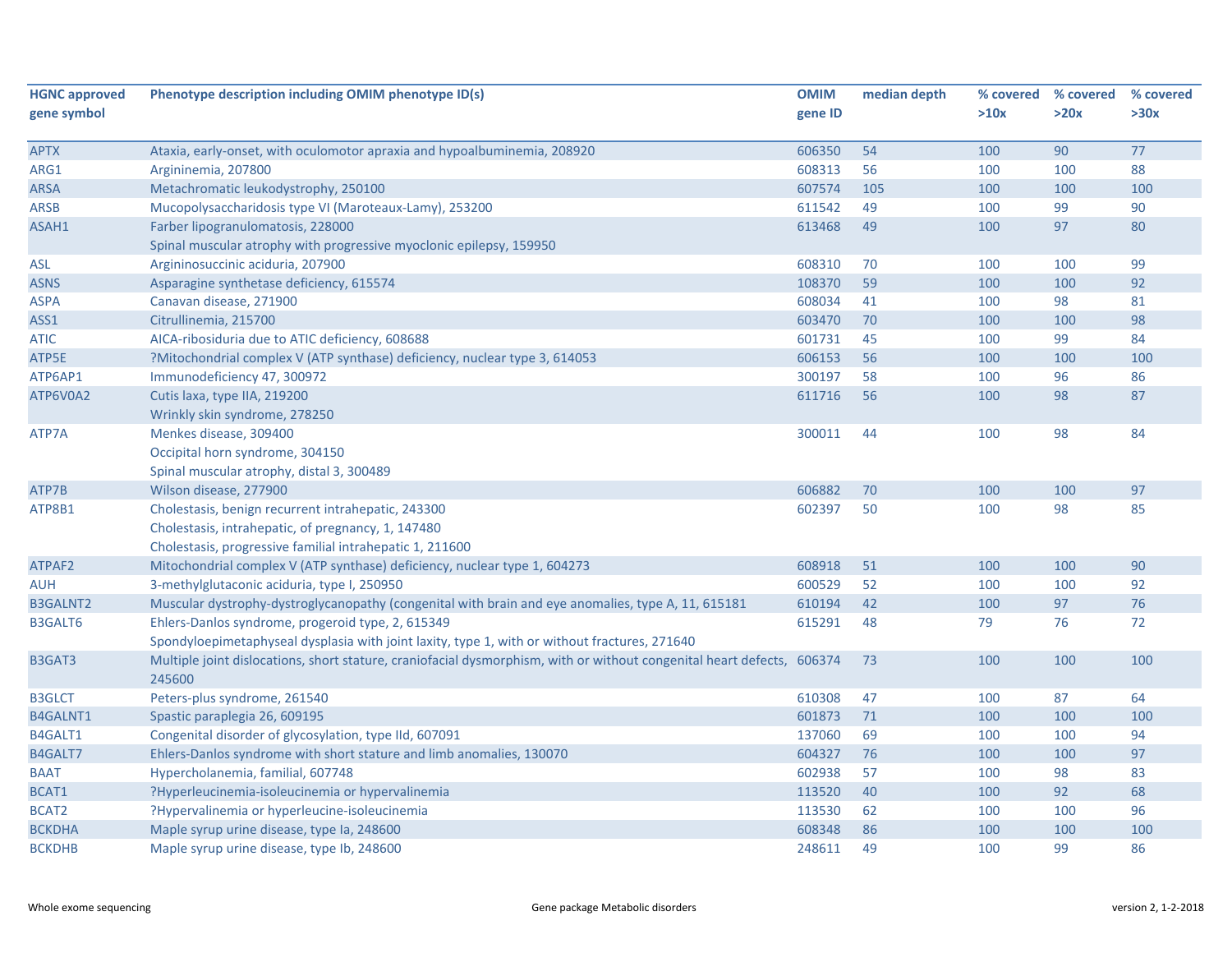| <b>HGNC approved</b> | Phenotype description including OMIM phenotype ID(s)                                                                   | <b>OMIM</b> | median depth | % covered | % covered | % covered |
|----------------------|------------------------------------------------------------------------------------------------------------------------|-------------|--------------|-----------|-----------|-----------|
| gene symbol          |                                                                                                                        | gene ID     |              | >10x      | >20x      | >30x      |
|                      |                                                                                                                        |             |              |           |           |           |
| <b>APTX</b>          | Ataxia, early-onset, with oculomotor apraxia and hypoalbuminemia, 208920                                               | 606350      | 54           | 100       | 90        | 77        |
| ARG1                 | Argininemia, 207800                                                                                                    | 608313      | 56           | 100       | 100       | 88        |
| <b>ARSA</b>          | Metachromatic leukodystrophy, 250100                                                                                   | 607574      | 105          | 100       | 100       | 100       |
| <b>ARSB</b>          | Mucopolysaccharidosis type VI (Maroteaux-Lamy), 253200                                                                 | 611542      | 49           | 100       | 99        | 90        |
| ASAH1                | Farber lipogranulomatosis, 228000                                                                                      | 613468      | 49           | 100       | 97        | 80        |
|                      | Spinal muscular atrophy with progressive myoclonic epilepsy, 159950                                                    |             |              |           |           |           |
| ASL                  | Argininosuccinic aciduria, 207900                                                                                      | 608310      | 70           | 100       | 100       | 99        |
| <b>ASNS</b>          | Asparagine synthetase deficiency, 615574                                                                               | 108370      | 59           | 100       | 100       | 92        |
| <b>ASPA</b>          | Canavan disease, 271900                                                                                                | 608034      | 41           | 100       | 98        | 81        |
| ASS1                 | Citrullinemia, 215700                                                                                                  | 603470      | 70           | 100       | 100       | 98        |
| ATIC                 | AICA-ribosiduria due to ATIC deficiency, 608688                                                                        | 601731      | 45           | 100       | 99        | 84        |
| ATP5E                | ?Mitochondrial complex V (ATP synthase) deficiency, nuclear type 3, 614053                                             | 606153      | 56           | 100       | 100       | 100       |
| ATP6AP1              | Immunodeficiency 47, 300972                                                                                            | 300197      | 58           | 100       | 96        | 86        |
| ATP6V0A2             | Cutis laxa, type IIA, 219200                                                                                           | 611716      | 56           | 100       | 98        | 87        |
|                      | Wrinkly skin syndrome, 278250                                                                                          |             |              |           |           |           |
| ATP7A                | Menkes disease, 309400                                                                                                 | 300011      | 44           | 100       | 98        | 84        |
|                      | Occipital horn syndrome, 304150                                                                                        |             |              |           |           |           |
|                      | Spinal muscular atrophy, distal 3, 300489                                                                              |             |              |           |           |           |
| ATP7B                | Wilson disease, 277900                                                                                                 | 606882      | 70           | 100       | 100       | 97        |
| ATP8B1               | Cholestasis, benign recurrent intrahepatic, 243300                                                                     | 602397      | 50           | 100       | 98        | 85        |
|                      | Cholestasis, intrahepatic, of pregnancy, 1, 147480                                                                     |             |              |           |           |           |
|                      | Cholestasis, progressive familial intrahepatic 1, 211600                                                               |             |              |           |           |           |
| ATPAF2               | Mitochondrial complex V (ATP synthase) deficiency, nuclear type 1, 604273                                              | 608918      | 51           | 100       | 100       | 90        |
| <b>AUH</b>           | 3-methylglutaconic aciduria, type I, 250950                                                                            | 600529      | 52           | 100       | 100       | 92        |
| <b>B3GALNT2</b>      | Muscular dystrophy-dystroglycanopathy (congenital with brain and eye anomalies, type A, 11, 615181                     | 610194      | 42           | 100       | 97        | 76        |
| <b>B3GALT6</b>       | Ehlers-Danlos syndrome, progeroid type, 2, 615349                                                                      | 615291      | 48           | 79        | 76        | 72        |
|                      | Spondyloepimetaphyseal dysplasia with joint laxity, type 1, with or without fractures, 271640                          |             |              |           |           |           |
| B3GAT3               | Multiple joint dislocations, short stature, craniofacial dysmorphism, with or without congenital heart defects, 606374 |             | 73           | 100       | 100       | 100       |
|                      | 245600                                                                                                                 |             |              |           |           |           |
| <b>B3GLCT</b>        | Peters-plus syndrome, 261540                                                                                           | 610308      | 47           | 100       | 87        | 64        |
| <b>B4GALNT1</b>      | Spastic paraplegia 26, 609195                                                                                          | 601873      | 71           | 100       | 100       | 100       |
| B4GALT1              | Congenital disorder of glycosylation, type IId, 607091                                                                 | 137060      | 69           | 100       | 100       | 94        |
| B4GALT7              | Ehlers-Danlos syndrome with short stature and limb anomalies, 130070                                                   | 604327      | 76           | 100       | 100       | 97        |
| <b>BAAT</b>          | Hypercholanemia, familial, 607748                                                                                      | 602938      | 57           | 100       | 98        | 83        |
| BCAT1                | ?Hyperleucinemia-isoleucinemia or hypervalinemia                                                                       | 113520      | 40           | 100       | 92        | 68        |
| BCAT2                | ?Hypervalinemia or hyperleucine-isoleucinemia                                                                          | 113530      | 62           | 100       | 100       | 96        |
| <b>BCKDHA</b>        | Maple syrup urine disease, type Ia, 248600                                                                             | 608348      | 86           | 100       | 100       | 100       |
| <b>BCKDHB</b>        | Maple syrup urine disease, type Ib, 248600                                                                             | 248611      | 49           | 100       | 99        | 86        |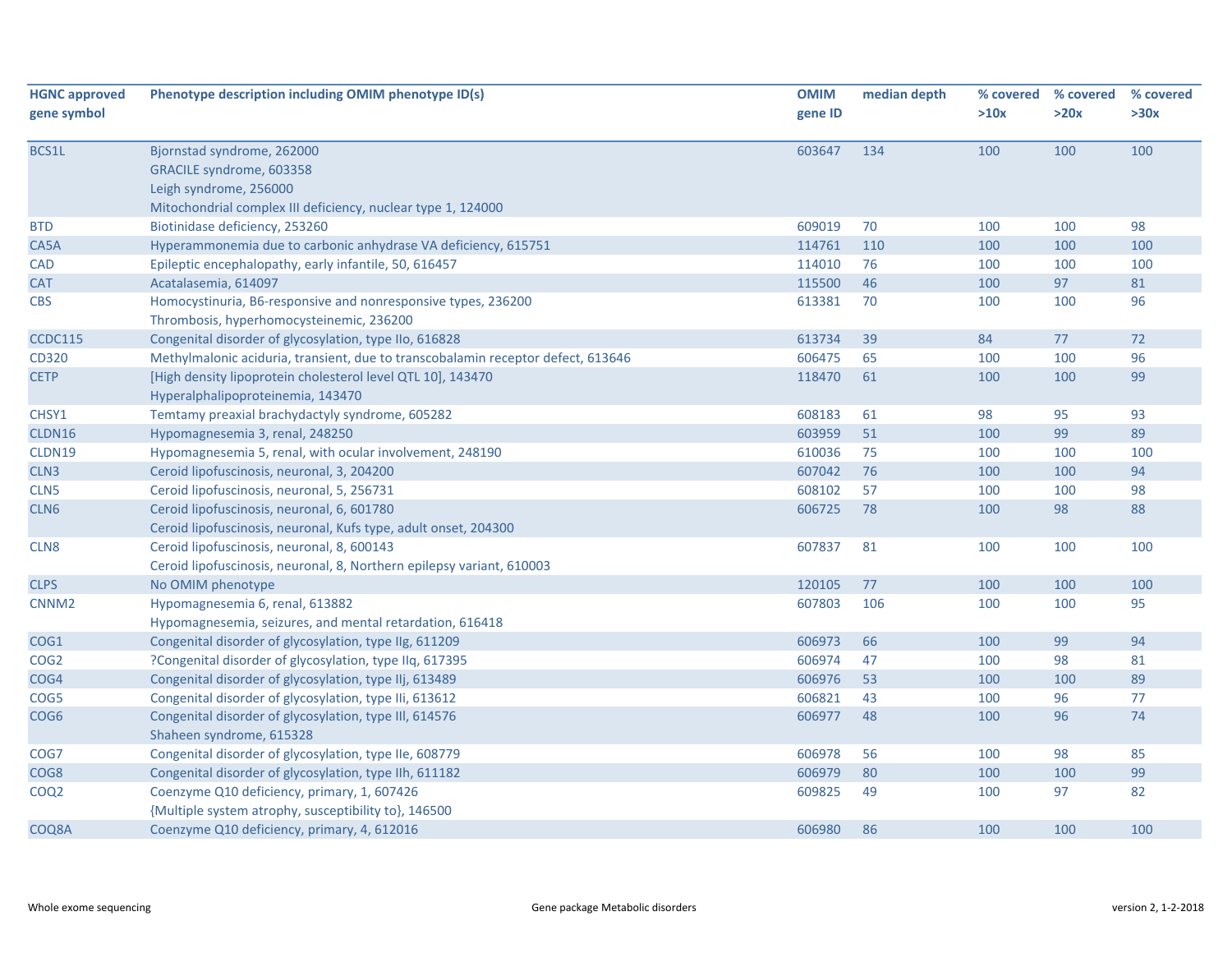| <b>HGNC approved</b> | Phenotype description including OMIM phenotype ID(s)                             | <b>OMIM</b> | median depth | % covered | % covered | % covered |
|----------------------|----------------------------------------------------------------------------------|-------------|--------------|-----------|-----------|-----------|
| gene symbol          |                                                                                  | gene ID     |              | >10x      | >20x      | >30x      |
|                      |                                                                                  |             |              |           |           |           |
| BCS1L                | Bjornstad syndrome, 262000                                                       | 603647      | 134          | 100       | 100       | 100       |
|                      | GRACILE syndrome, 603358                                                         |             |              |           |           |           |
|                      | Leigh syndrome, 256000                                                           |             |              |           |           |           |
|                      | Mitochondrial complex III deficiency, nuclear type 1, 124000                     |             |              |           |           |           |
| <b>BTD</b>           | Biotinidase deficiency, 253260                                                   | 609019      | 70           | 100       | 100       | 98        |
| CA5A                 | Hyperammonemia due to carbonic anhydrase VA deficiency, 615751                   | 114761      | 110          | 100       | 100       | 100       |
| <b>CAD</b>           | Epileptic encephalopathy, early infantile, 50, 616457                            | 114010      | 76           | 100       | 100       | 100       |
| <b>CAT</b>           | Acatalasemia, 614097                                                             | 115500      | 46           | 100       | 97        | 81        |
| <b>CBS</b>           | Homocystinuria, B6-responsive and nonresponsive types, 236200                    | 613381      | 70           | 100       | 100       | 96        |
|                      | Thrombosis, hyperhomocysteinemic, 236200                                         |             |              |           |           |           |
| <b>CCDC115</b>       | Congenital disorder of glycosylation, type IIo, 616828                           | 613734      | 39           | 84        | 77        | 72        |
| CD320                | Methylmalonic aciduria, transient, due to transcobalamin receptor defect, 613646 | 606475      | 65           | 100       | 100       | 96        |
| <b>CETP</b>          | [High density lipoprotein cholesterol level QTL 10], 143470                      | 118470      | 61           | 100       | 100       | 99        |
|                      | Hyperalphalipoproteinemia, 143470                                                |             |              |           |           |           |
| CHSY1                | Temtamy preaxial brachydactyly syndrome, 605282                                  | 608183      | 61           | 98        | 95        | 93        |
| CLDN16               | Hypomagnesemia 3, renal, 248250                                                  | 603959      | 51           | 100       | 99        | 89        |
| CLDN19               | Hypomagnesemia 5, renal, with ocular involvement, 248190                         | 610036      | 75           | 100       | 100       | 100       |
| CLN3                 | Ceroid lipofuscinosis, neuronal, 3, 204200                                       | 607042      | 76           | 100       | 100       | 94        |
| CLN <sub>5</sub>     | Ceroid lipofuscinosis, neuronal, 5, 256731                                       | 608102      | 57           | 100       | 100       | 98        |
| CLN6                 | Ceroid lipofuscinosis, neuronal, 6, 601780                                       | 606725      | 78           | 100       | 98        | 88        |
|                      | Ceroid lipofuscinosis, neuronal, Kufs type, adult onset, 204300                  |             |              |           |           |           |
| CLN <sub>8</sub>     | Ceroid lipofuscinosis, neuronal, 8, 600143                                       | 607837      | 81           | 100       | 100       | 100       |
|                      | Ceroid lipofuscinosis, neuronal, 8, Northern epilepsy variant, 610003            |             |              |           |           |           |
| <b>CLPS</b>          | No OMIM phenotype                                                                | 120105      | 77           | 100       | 100       | 100       |
| CNNM <sub>2</sub>    | Hypomagnesemia 6, renal, 613882                                                  | 607803      | 106          | 100       | 100       | 95        |
|                      | Hypomagnesemia, seizures, and mental retardation, 616418                         |             |              |           |           |           |
| COG1                 | Congenital disorder of glycosylation, type IIg, 611209                           | 606973      | 66           | 100       | 99        | 94        |
| COG <sub>2</sub>     | ?Congenital disorder of glycosylation, type IIq, 617395                          | 606974      | 47           | 100       | 98        | 81        |
| COG4                 | Congenital disorder of glycosylation, type IIj, 613489                           | 606976      | 53           | 100       | 100       | 89        |
| COG5                 | Congenital disorder of glycosylation, type IIi, 613612                           | 606821      | 43           | 100       | 96        | 77        |
| COG6                 | Congenital disorder of glycosylation, type III, 614576                           | 606977      | 48           | 100       | 96        | 74        |
|                      | Shaheen syndrome, 615328                                                         |             |              |           |           |           |
| COG7                 | Congenital disorder of glycosylation, type IIe, 608779                           | 606978      | 56           | 100       | 98        | 85        |
| COG8                 | Congenital disorder of glycosylation, type IIh, 611182                           | 606979      | 80           | 100       | 100       | 99        |
| COQ <sub>2</sub>     | Coenzyme Q10 deficiency, primary, 1, 607426                                      | 609825      | 49           | 100       | 97        | 82        |
|                      | {Multiple system atrophy, susceptibility to}, 146500                             |             |              |           |           |           |
| COQ8A                | Coenzyme Q10 deficiency, primary, 4, 612016                                      | 606980      | 86           | 100       | 100       | 100       |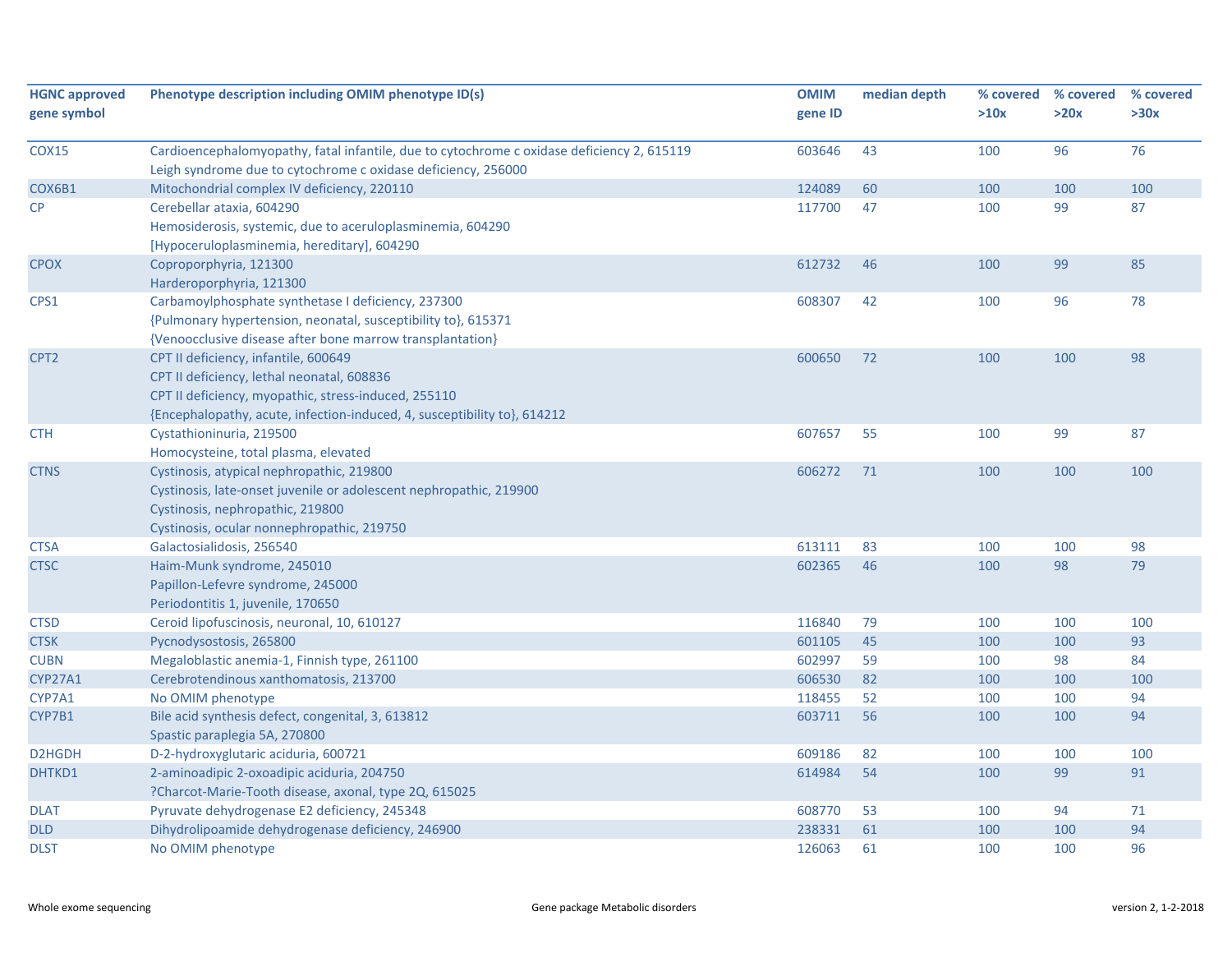| <b>HGNC approved</b><br>gene symbol | Phenotype description including OMIM phenotype ID(s)                                                                                                                                                                   | <b>OMIM</b><br>gene ID | median depth | % covered<br>>10x | % covered<br>>20x | % covered<br>>30x |
|-------------------------------------|------------------------------------------------------------------------------------------------------------------------------------------------------------------------------------------------------------------------|------------------------|--------------|-------------------|-------------------|-------------------|
| <b>COX15</b>                        | Cardioencephalomyopathy, fatal infantile, due to cytochrome c oxidase deficiency 2, 615119<br>Leigh syndrome due to cytochrome c oxidase deficiency, 256000                                                            | 603646                 | 43           | 100               | 96                | 76                |
| COX6B1                              | Mitochondrial complex IV deficiency, 220110                                                                                                                                                                            | 124089                 | 60           | 100               | 100               | 100               |
| <b>CP</b>                           | Cerebellar ataxia, 604290<br>Hemosiderosis, systemic, due to aceruloplasminemia, 604290<br>[Hypoceruloplasminemia, hereditary], 604290                                                                                 | 117700                 | 47           | 100               | 99                | 87                |
| <b>CPOX</b>                         | Coproporphyria, 121300<br>Harderoporphyria, 121300                                                                                                                                                                     | 612732                 | 46           | 100               | 99                | 85                |
| CPS1                                | Carbamoylphosphate synthetase I deficiency, 237300<br>{Pulmonary hypertension, neonatal, susceptibility to}, 615371<br>{Venoocclusive disease after bone marrow transplantation}                                       | 608307                 | 42           | 100               | 96                | 78                |
| CPT <sub>2</sub>                    | CPT II deficiency, infantile, 600649<br>CPT II deficiency, lethal neonatal, 608836<br>CPT II deficiency, myopathic, stress-induced, 255110<br>{Encephalopathy, acute, infection-induced, 4, susceptibility to}, 614212 | 600650                 | 72           | 100               | 100               | 98                |
| <b>CTH</b>                          | Cystathioninuria, 219500<br>Homocysteine, total plasma, elevated                                                                                                                                                       | 607657                 | 55           | 100               | 99                | 87                |
| <b>CTNS</b>                         | Cystinosis, atypical nephropathic, 219800<br>Cystinosis, late-onset juvenile or adolescent nephropathic, 219900<br>Cystinosis, nephropathic, 219800<br>Cystinosis, ocular nonnephropathic, 219750                      | 606272                 | 71           | 100               | 100               | 100               |
| <b>CTSA</b>                         | Galactosialidosis, 256540                                                                                                                                                                                              | 613111                 | 83           | 100               | 100               | 98                |
| <b>CTSC</b>                         | Haim-Munk syndrome, 245010<br>Papillon-Lefevre syndrome, 245000<br>Periodontitis 1, juvenile, 170650                                                                                                                   | 602365                 | 46           | 100               | 98                | 79                |
| <b>CTSD</b>                         | Ceroid lipofuscinosis, neuronal, 10, 610127                                                                                                                                                                            | 116840                 | 79           | 100               | 100               | 100               |
| <b>CTSK</b>                         | Pycnodysostosis, 265800                                                                                                                                                                                                | 601105                 | 45           | 100               | 100               | 93                |
| <b>CUBN</b>                         | Megaloblastic anemia-1, Finnish type, 261100                                                                                                                                                                           | 602997                 | 59           | 100               | 98                | 84                |
| <b>CYP27A1</b>                      | Cerebrotendinous xanthomatosis, 213700                                                                                                                                                                                 | 606530                 | 82           | 100               | 100               | 100               |
| CYP7A1                              | No OMIM phenotype                                                                                                                                                                                                      | 118455                 | 52           | 100               | 100               | 94                |
| CYP7B1                              | Bile acid synthesis defect, congenital, 3, 613812<br>Spastic paraplegia 5A, 270800                                                                                                                                     | 603711                 | 56           | 100               | 100               | 94                |
| D2HGDH                              | D-2-hydroxyglutaric aciduria, 600721                                                                                                                                                                                   | 609186                 | 82           | 100               | 100               | 100               |
| DHTKD1                              | 2-aminoadipic 2-oxoadipic aciduria, 204750<br>?Charcot-Marie-Tooth disease, axonal, type 2Q, 615025                                                                                                                    | 614984                 | 54           | 100               | 99                | 91                |
| <b>DLAT</b>                         | Pyruvate dehydrogenase E2 deficiency, 245348                                                                                                                                                                           | 608770                 | 53           | 100               | 94                | 71                |
| <b>DLD</b>                          | Dihydrolipoamide dehydrogenase deficiency, 246900                                                                                                                                                                      | 238331                 | 61           | 100               | 100               | 94                |
| <b>DLST</b>                         | No OMIM phenotype                                                                                                                                                                                                      | 126063                 | 61           | 100               | 100               | 96                |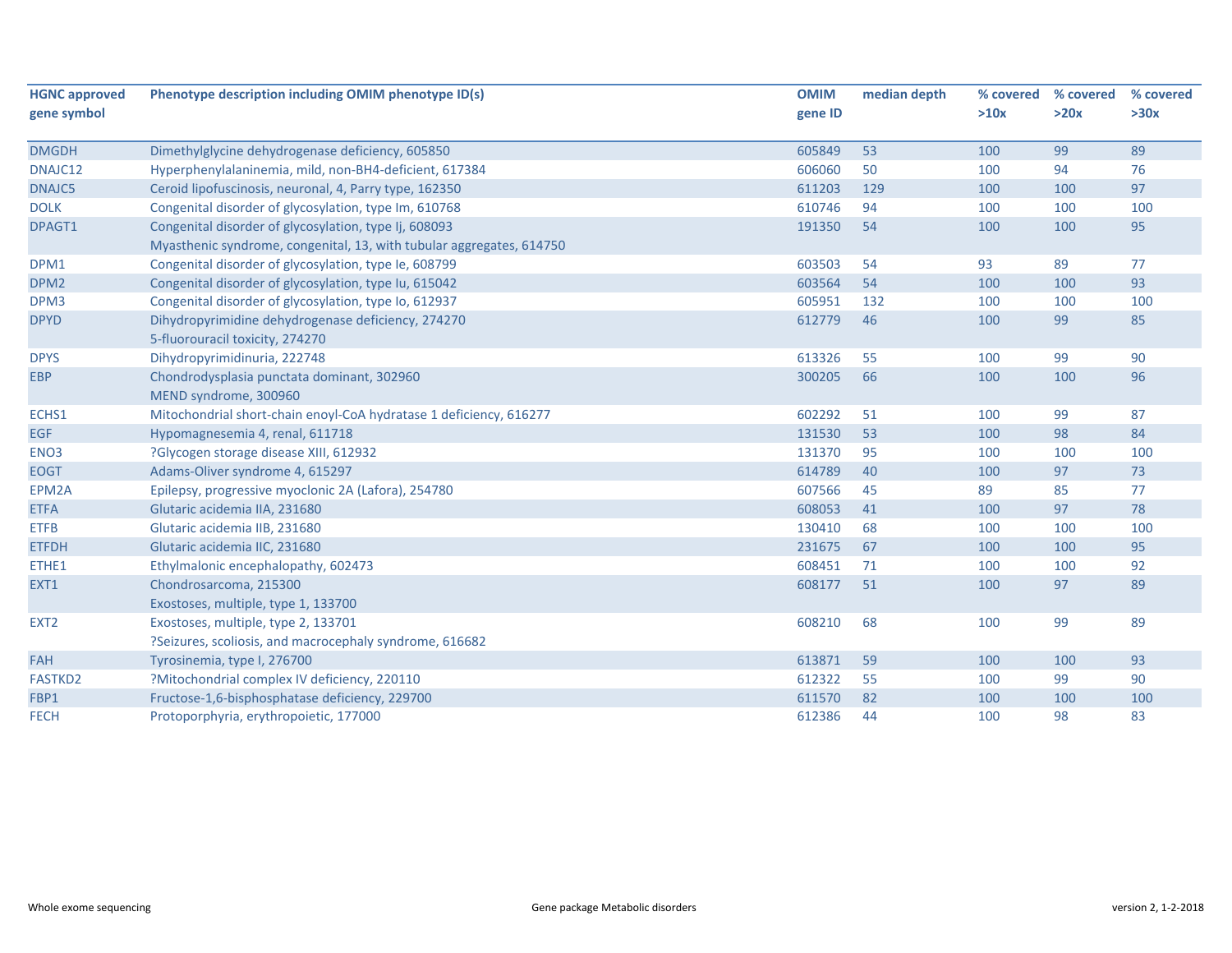| <b>HGNC approved</b> | Phenotype description including OMIM phenotype ID(s)                 | <b>OMIM</b> | median depth | % covered | % covered | % covered |
|----------------------|----------------------------------------------------------------------|-------------|--------------|-----------|-----------|-----------|
| gene symbol          |                                                                      | gene ID     |              | >10x      | >20x      | >30x      |
| <b>DMGDH</b>         | Dimethylglycine dehydrogenase deficiency, 605850                     | 605849      | 53           | 100       | 99        | 89        |
| DNAJC12              | Hyperphenylalaninemia, mild, non-BH4-deficient, 617384               | 606060      | 50           | 100       | 94        | 76        |
| DNAJC5               | Ceroid lipofuscinosis, neuronal, 4, Parry type, 162350               | 611203      | 129          | 100       | 100       | 97        |
| <b>DOLK</b>          | Congenital disorder of glycosylation, type Im, 610768                | 610746      | 94           | 100       | 100       | 100       |
| DPAGT1               | Congenital disorder of glycosylation, type Ij, 608093                | 191350      | 54           | 100       | 100       | 95        |
|                      | Myasthenic syndrome, congenital, 13, with tubular aggregates, 614750 |             |              |           |           |           |
| DPM1                 | Congenital disorder of glycosylation, type Ie, 608799                | 603503      | 54           | 93        | 89        | 77        |
| DPM <sub>2</sub>     | Congenital disorder of glycosylation, type Iu, 615042                | 603564      | 54           | 100       | 100       | 93        |
| DPM3                 | Congenital disorder of glycosylation, type Io, 612937                | 605951      | 132          | 100       | 100       | 100       |
| <b>DPYD</b>          | Dihydropyrimidine dehydrogenase deficiency, 274270                   | 612779      | 46           | 100       | 99        | 85        |
|                      | 5-fluorouracil toxicity, 274270                                      |             |              |           |           |           |
| <b>DPYS</b>          | Dihydropyrimidinuria, 222748                                         | 613326      | 55           | 100       | 99        | 90        |
| <b>EBP</b>           | Chondrodysplasia punctata dominant, 302960                           | 300205      | 66           | 100       | 100       | 96        |
|                      | MEND syndrome, 300960                                                |             |              |           |           |           |
| ECHS1                | Mitochondrial short-chain enoyl-CoA hydratase 1 deficiency, 616277   | 602292      | 51           | 100       | 99        | 87        |
| <b>EGF</b>           | Hypomagnesemia 4, renal, 611718                                      | 131530      | 53           | 100       | 98        | 84        |
| ENO <sub>3</sub>     | ?Glycogen storage disease XIII, 612932                               | 131370      | 95           | 100       | 100       | 100       |
| <b>EOGT</b>          | Adams-Oliver syndrome 4, 615297                                      | 614789      | 40           | 100       | 97        | 73        |
| EPM2A                | Epilepsy, progressive myoclonic 2A (Lafora), 254780                  | 607566      | 45           | 89        | 85        | 77        |
| <b>ETFA</b>          | Glutaric acidemia IIA, 231680                                        | 608053      | 41           | 100       | 97        | 78        |
| <b>ETFB</b>          | Glutaric acidemia IIB, 231680                                        | 130410      | 68           | 100       | 100       | 100       |
| <b>ETFDH</b>         | Glutaric acidemia IIC, 231680                                        | 231675      | 67           | 100       | 100       | 95        |
| ETHE1                | Ethylmalonic encephalopathy, 602473                                  | 608451      | 71           | 100       | 100       | 92        |
| EXT1                 | Chondrosarcoma, 215300                                               | 608177      | 51           | 100       | 97        | 89        |
|                      | Exostoses, multiple, type 1, 133700                                  |             |              |           |           |           |
| EXT <sub>2</sub>     | Exostoses, multiple, type 2, 133701                                  | 608210      | 68           | 100       | 99        | 89        |
|                      | ?Seizures, scoliosis, and macrocephaly syndrome, 616682              |             |              |           |           |           |
| <b>FAH</b>           | Tyrosinemia, type I, 276700                                          | 613871      | 59           | 100       | 100       | 93        |
| <b>FASTKD2</b>       | ?Mitochondrial complex IV deficiency, 220110                         | 612322      | 55           | 100       | 99        | 90        |
| FBP1                 | Fructose-1,6-bisphosphatase deficiency, 229700                       | 611570      | 82           | 100       | 100       | 100       |
| <b>FECH</b>          | Protoporphyria, erythropoietic, 177000                               | 612386      | 44           | 100       | 98        | 83        |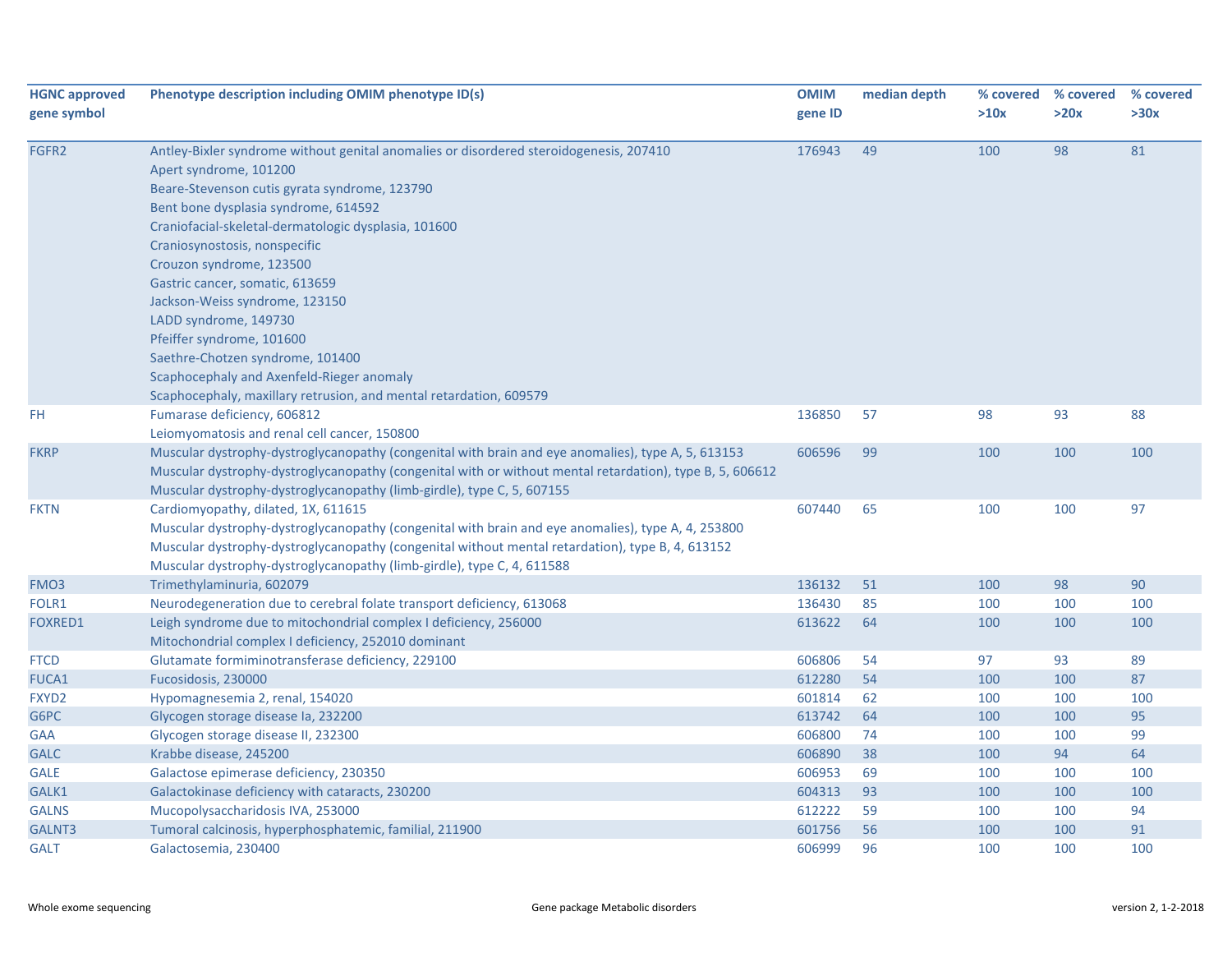| <b>HGNC approved</b> | Phenotype description including OMIM phenotype ID(s)                                                                                                                                                                                                                                                                                                                                                                                                                                                                                                                                                             | <b>OMIM</b> | median depth |      | % covered % covered | % covered |
|----------------------|------------------------------------------------------------------------------------------------------------------------------------------------------------------------------------------------------------------------------------------------------------------------------------------------------------------------------------------------------------------------------------------------------------------------------------------------------------------------------------------------------------------------------------------------------------------------------------------------------------------|-------------|--------------|------|---------------------|-----------|
| gene symbol          |                                                                                                                                                                                                                                                                                                                                                                                                                                                                                                                                                                                                                  | gene ID     |              | >10x | >20x                | >30x      |
| FGFR2                | Antley-Bixler syndrome without genital anomalies or disordered steroidogenesis, 207410<br>Apert syndrome, 101200<br>Beare-Stevenson cutis gyrata syndrome, 123790<br>Bent bone dysplasia syndrome, 614592<br>Craniofacial-skeletal-dermatologic dysplasia, 101600<br>Craniosynostosis, nonspecific<br>Crouzon syndrome, 123500<br>Gastric cancer, somatic, 613659<br>Jackson-Weiss syndrome, 123150<br>LADD syndrome, 149730<br>Pfeiffer syndrome, 101600<br>Saethre-Chotzen syndrome, 101400<br>Scaphocephaly and Axenfeld-Rieger anomaly<br>Scaphocephaly, maxillary retrusion, and mental retardation, 609579 | 176943      | 49           | 100  | 98                  | 81        |
| FH.                  | Fumarase deficiency, 606812<br>Leiomyomatosis and renal cell cancer, 150800                                                                                                                                                                                                                                                                                                                                                                                                                                                                                                                                      | 136850      | 57           | 98   | 93                  | 88        |
| <b>FKRP</b>          | Muscular dystrophy-dystroglycanopathy (congenital with brain and eye anomalies), type A, 5, 613153<br>Muscular dystrophy-dystroglycanopathy (congenital with or without mental retardation), type B, 5, 606612<br>Muscular dystrophy-dystroglycanopathy (limb-girdle), type C, 5, 607155                                                                                                                                                                                                                                                                                                                         | 606596      | 99           | 100  | 100                 | 100       |
| <b>FKTN</b>          | Cardiomyopathy, dilated, 1X, 611615<br>Muscular dystrophy-dystroglycanopathy (congenital with brain and eye anomalies), type A, 4, 253800<br>Muscular dystrophy-dystroglycanopathy (congenital without mental retardation), type B, 4, 613152<br>Muscular dystrophy-dystroglycanopathy (limb-girdle), type C, 4, 611588                                                                                                                                                                                                                                                                                          | 607440      | 65           | 100  | 100                 | 97        |
| FMO <sub>3</sub>     | Trimethylaminuria, 602079                                                                                                                                                                                                                                                                                                                                                                                                                                                                                                                                                                                        | 136132      | 51           | 100  | 98                  | 90        |
| FOLR1                | Neurodegeneration due to cerebral folate transport deficiency, 613068                                                                                                                                                                                                                                                                                                                                                                                                                                                                                                                                            | 136430      | 85           | 100  | 100                 | 100       |
| <b>FOXRED1</b>       | Leigh syndrome due to mitochondrial complex I deficiency, 256000<br>Mitochondrial complex I deficiency, 252010 dominant                                                                                                                                                                                                                                                                                                                                                                                                                                                                                          | 613622      | 64           | 100  | 100                 | 100       |
| <b>FTCD</b>          | Glutamate formiminotransferase deficiency, 229100                                                                                                                                                                                                                                                                                                                                                                                                                                                                                                                                                                | 606806      | 54           | 97   | 93                  | 89        |
| <b>FUCA1</b>         | Fucosidosis, 230000                                                                                                                                                                                                                                                                                                                                                                                                                                                                                                                                                                                              | 612280      | 54           | 100  | 100                 | 87        |
| FXYD <sub>2</sub>    | Hypomagnesemia 2, renal, 154020                                                                                                                                                                                                                                                                                                                                                                                                                                                                                                                                                                                  | 601814      | 62           | 100  | 100                 | 100       |
| G6PC                 | Glycogen storage disease la, 232200                                                                                                                                                                                                                                                                                                                                                                                                                                                                                                                                                                              | 613742      | 64           | 100  | 100                 | 95        |
| <b>GAA</b>           | Glycogen storage disease II, 232300                                                                                                                                                                                                                                                                                                                                                                                                                                                                                                                                                                              | 606800      | 74           | 100  | 100                 | 99        |
| <b>GALC</b>          | Krabbe disease, 245200                                                                                                                                                                                                                                                                                                                                                                                                                                                                                                                                                                                           | 606890      | 38           | 100  | 94                  | 64        |
| <b>GALE</b>          | Galactose epimerase deficiency, 230350                                                                                                                                                                                                                                                                                                                                                                                                                                                                                                                                                                           | 606953      | 69           | 100  | 100                 | 100       |
| GALK1                | Galactokinase deficiency with cataracts, 230200                                                                                                                                                                                                                                                                                                                                                                                                                                                                                                                                                                  | 604313      | 93           | 100  | 100                 | 100       |
| <b>GALNS</b>         | Mucopolysaccharidosis IVA, 253000                                                                                                                                                                                                                                                                                                                                                                                                                                                                                                                                                                                | 612222      | 59           | 100  | 100                 | 94        |
| GALNT3               | Tumoral calcinosis, hyperphosphatemic, familial, 211900                                                                                                                                                                                                                                                                                                                                                                                                                                                                                                                                                          | 601756      | 56           | 100  | 100                 | 91        |
| <b>GALT</b>          | Galactosemia, 230400                                                                                                                                                                                                                                                                                                                                                                                                                                                                                                                                                                                             | 606999      | 96           | 100  | 100                 | 100       |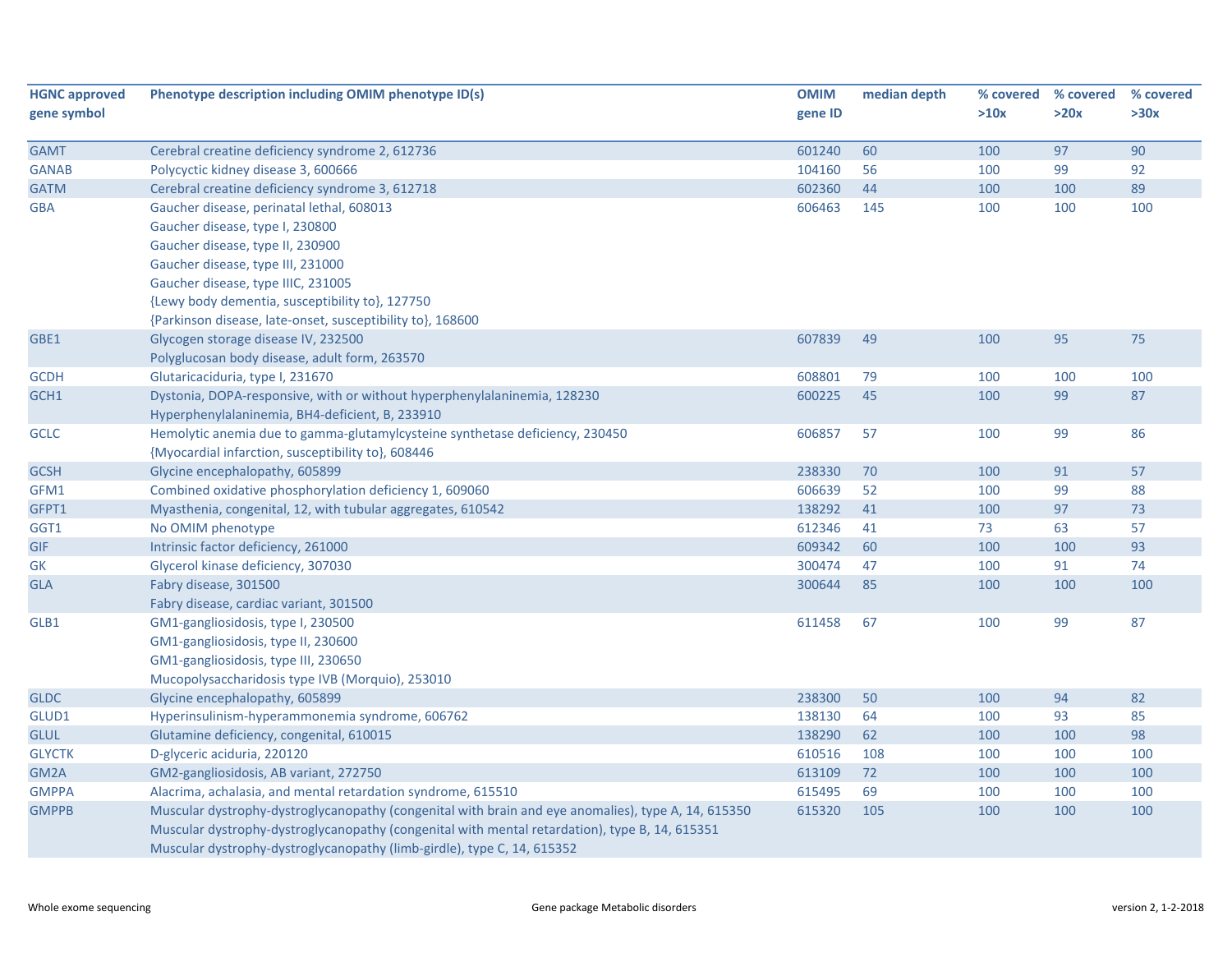| <b>HGNC approved</b> | Phenotype description including OMIM phenotype ID(s)                                                | <b>OMIM</b> | median depth |      | % covered % covered | % covered |
|----------------------|-----------------------------------------------------------------------------------------------------|-------------|--------------|------|---------------------|-----------|
| gene symbol          |                                                                                                     | gene ID     |              | >10x | >20x                | >30x      |
| <b>GAMT</b>          | Cerebral creatine deficiency syndrome 2, 612736                                                     | 601240      | 60           | 100  | 97                  | 90        |
| <b>GANAB</b>         | Polycyctic kidney disease 3, 600666                                                                 | 104160      | 56           | 100  | 99                  | 92        |
| <b>GATM</b>          | Cerebral creatine deficiency syndrome 3, 612718                                                     | 602360      | 44           | 100  | 100                 | 89        |
| <b>GBA</b>           | Gaucher disease, perinatal lethal, 608013                                                           | 606463      | 145          | 100  | 100                 | 100       |
|                      | Gaucher disease, type I, 230800                                                                     |             |              |      |                     |           |
|                      | Gaucher disease, type II, 230900                                                                    |             |              |      |                     |           |
|                      | Gaucher disease, type III, 231000                                                                   |             |              |      |                     |           |
|                      | Gaucher disease, type IIIC, 231005                                                                  |             |              |      |                     |           |
|                      | {Lewy body dementia, susceptibility to}, 127750                                                     |             |              |      |                     |           |
|                      | {Parkinson disease, late-onset, susceptibility to}, 168600                                          |             |              |      |                     |           |
| GBE1                 | Glycogen storage disease IV, 232500                                                                 | 607839      | 49           | 100  | 95                  | 75        |
|                      | Polyglucosan body disease, adult form, 263570                                                       |             |              |      |                     |           |
| <b>GCDH</b>          | Glutaricaciduria, type I, 231670                                                                    | 608801      | 79           | 100  | 100                 | 100       |
| GCH1                 | Dystonia, DOPA-responsive, with or without hyperphenylalaninemia, 128230                            | 600225      | 45           | 100  | 99                  | 87        |
|                      | Hyperphenylalaninemia, BH4-deficient, B, 233910                                                     |             |              |      |                     |           |
| <b>GCLC</b>          | Hemolytic anemia due to gamma-glutamylcysteine synthetase deficiency, 230450                        | 606857      | 57           | 100  | 99                  | 86        |
|                      | {Myocardial infarction, susceptibility to}, 608446                                                  |             |              |      |                     |           |
| <b>GCSH</b>          | Glycine encephalopathy, 605899                                                                      | 238330      | 70           | 100  | 91                  | 57        |
| GFM1                 | Combined oxidative phosphorylation deficiency 1, 609060                                             | 606639      | 52           | 100  | 99                  | 88        |
| GFPT1                | Myasthenia, congenital, 12, with tubular aggregates, 610542                                         | 138292      | 41           | 100  | 97                  | 73        |
| GGT1                 | No OMIM phenotype                                                                                   | 612346      | 41           | 73   | 63                  | 57        |
| <b>GIF</b>           | Intrinsic factor deficiency, 261000                                                                 | 609342      | 60           | 100  | 100                 | 93        |
| <b>GK</b>            | Glycerol kinase deficiency, 307030                                                                  | 300474      | 47           | 100  | 91                  | 74        |
| <b>GLA</b>           | Fabry disease, 301500                                                                               | 300644      | 85           | 100  | 100                 | 100       |
|                      | Fabry disease, cardiac variant, 301500                                                              |             |              |      |                     |           |
| GLB1                 | GM1-gangliosidosis, type I, 230500                                                                  | 611458      | 67           | 100  | 99                  | 87        |
|                      | GM1-gangliosidosis, type II, 230600                                                                 |             |              |      |                     |           |
|                      | GM1-gangliosidosis, type III, 230650                                                                |             |              |      |                     |           |
|                      | Mucopolysaccharidosis type IVB (Morquio), 253010                                                    |             |              |      |                     |           |
| <b>GLDC</b>          | Glycine encephalopathy, 605899                                                                      | 238300      | 50           | 100  | 94                  | 82        |
| GLUD1                | Hyperinsulinism-hyperammonemia syndrome, 606762                                                     | 138130      | 64           | 100  | 93                  | 85        |
| <b>GLUL</b>          | Glutamine deficiency, congenital, 610015                                                            | 138290      | 62           | 100  | 100                 | 98        |
| <b>GLYCTK</b>        | D-glyceric aciduria, 220120                                                                         | 610516      | 108          | 100  | 100                 | 100       |
| GM <sub>2</sub> A    | GM2-gangliosidosis, AB variant, 272750                                                              | 613109      | 72           | 100  | 100                 | 100       |
| <b>GMPPA</b>         | Alacrima, achalasia, and mental retardation syndrome, 615510                                        | 615495      | 69           | 100  | 100                 | 100       |
| <b>GMPPB</b>         | Muscular dystrophy-dystroglycanopathy (congenital with brain and eye anomalies), type A, 14, 615350 | 615320      | 105          | 100  | 100                 | 100       |
|                      | Muscular dystrophy-dystroglycanopathy (congenital with mental retardation), type B, 14, 615351      |             |              |      |                     |           |
|                      | Muscular dystrophy-dystroglycanopathy (limb-girdle), type C, 14, 615352                             |             |              |      |                     |           |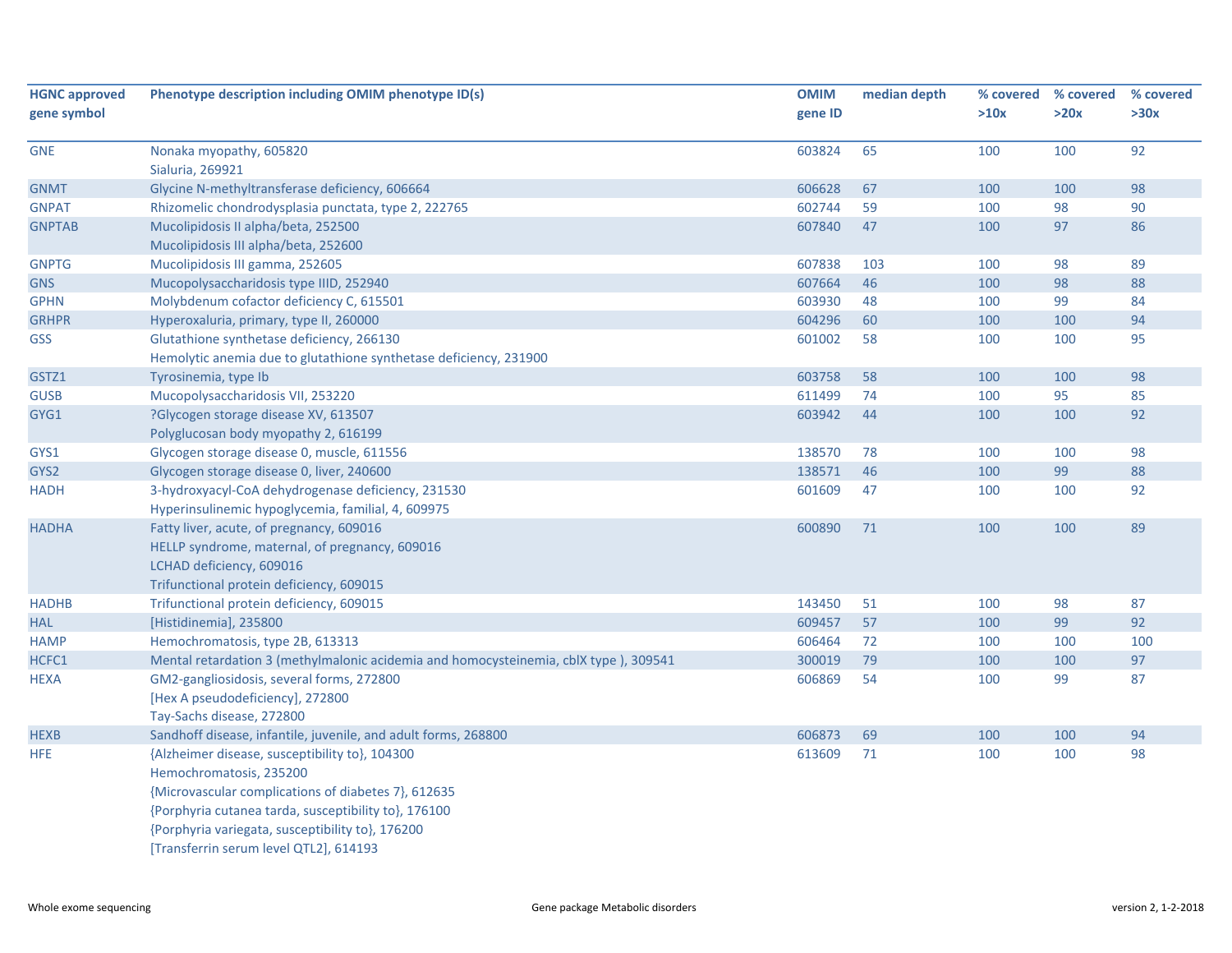| <b>HGNC approved</b> | Phenotype description including OMIM phenotype ID(s)                                 | <b>OMIM</b> | median depth | % covered | % covered | % covered |
|----------------------|--------------------------------------------------------------------------------------|-------------|--------------|-----------|-----------|-----------|
| gene symbol          |                                                                                      | gene ID     |              | >10x      | >20x      | >30x      |
| <b>GNE</b>           | Nonaka myopathy, 605820<br>Sialuria, 269921                                          | 603824      | 65           | 100       | 100       | 92        |
| <b>GNMT</b>          | Glycine N-methyltransferase deficiency, 606664                                       | 606628      | 67           | 100       | 100       | 98        |
| <b>GNPAT</b>         | Rhizomelic chondrodysplasia punctata, type 2, 222765                                 | 602744      | 59           | 100       | 98        | 90        |
| <b>GNPTAB</b>        | Mucolipidosis II alpha/beta, 252500                                                  | 607840      | 47           | 100       | 97        | 86        |
|                      | Mucolipidosis III alpha/beta, 252600                                                 |             |              |           |           |           |
| <b>GNPTG</b>         | Mucolipidosis III gamma, 252605                                                      | 607838      | 103          | 100       | 98        | 89        |
| <b>GNS</b>           | Mucopolysaccharidosis type IIID, 252940                                              | 607664      | 46           | 100       | 98        | 88        |
| <b>GPHN</b>          | Molybdenum cofactor deficiency C, 615501                                             | 603930      | 48           | 100       | 99        | 84        |
| <b>GRHPR</b>         | Hyperoxaluria, primary, type II, 260000                                              | 604296      | 60           | 100       | 100       | 94        |
| <b>GSS</b>           | Glutathione synthetase deficiency, 266130                                            | 601002      | 58           | 100       | 100       | 95        |
|                      | Hemolytic anemia due to glutathione synthetase deficiency, 231900                    |             |              |           |           |           |
| GSTZ1                | Tyrosinemia, type Ib                                                                 | 603758      | 58           | 100       | 100       | 98        |
| <b>GUSB</b>          | Mucopolysaccharidosis VII, 253220                                                    | 611499      | 74           | 100       | 95        | 85        |
| GYG1                 | ?Glycogen storage disease XV, 613507                                                 | 603942      | 44           | 100       | 100       | 92        |
|                      | Polyglucosan body myopathy 2, 616199                                                 |             |              |           |           |           |
| GYS1                 | Glycogen storage disease 0, muscle, 611556                                           | 138570      | 78           | 100       | 100       | 98        |
| GYS2                 | Glycogen storage disease 0, liver, 240600                                            | 138571      | 46           | 100       | 99        | 88        |
| <b>HADH</b>          | 3-hydroxyacyl-CoA dehydrogenase deficiency, 231530                                   | 601609      | 47           | 100       | 100       | 92        |
|                      | Hyperinsulinemic hypoglycemia, familial, 4, 609975                                   |             |              |           |           |           |
| <b>HADHA</b>         | Fatty liver, acute, of pregnancy, 609016                                             | 600890      | 71           | 100       | 100       | 89        |
|                      | HELLP syndrome, maternal, of pregnancy, 609016                                       |             |              |           |           |           |
|                      | LCHAD deficiency, 609016                                                             |             |              |           |           |           |
|                      | Trifunctional protein deficiency, 609015                                             |             |              |           |           |           |
| <b>HADHB</b>         | Trifunctional protein deficiency, 609015                                             | 143450      | 51           | 100       | 98        | 87        |
| <b>HAL</b>           | [Histidinemia], 235800                                                               | 609457      | 57           | 100       | 99        | 92        |
| <b>HAMP</b>          | Hemochromatosis, type 2B, 613313                                                     | 606464      | 72           | 100       | 100       | 100       |
| HCFC1                | Mental retardation 3 (methylmalonic acidemia and homocysteinemia, cblX type), 309541 | 300019      | 79           | 100       | 100       | 97        |
| <b>HEXA</b>          | GM2-gangliosidosis, several forms, 272800                                            | 606869      | 54           | 100       | 99        | 87        |
|                      | [Hex A pseudodeficiency], 272800                                                     |             |              |           |           |           |
|                      | Tay-Sachs disease, 272800                                                            |             |              |           |           |           |
| <b>HEXB</b>          | Sandhoff disease, infantile, juvenile, and adult forms, 268800                       | 606873      | 69           | 100       | 100       | 94        |
| <b>HFE</b>           | {Alzheimer disease, susceptibility to}, 104300                                       | 613609      | 71           | 100       | 100       | 98        |
|                      | Hemochromatosis, 235200                                                              |             |              |           |           |           |
|                      | {Microvascular complications of diabetes 7}, 612635                                  |             |              |           |           |           |
|                      | {Porphyria cutanea tarda, susceptibility to}, 176100                                 |             |              |           |           |           |
|                      | {Porphyria variegata, susceptibility to}, 176200                                     |             |              |           |           |           |
|                      | [Transferrin serum level QTL2], 614193                                               |             |              |           |           |           |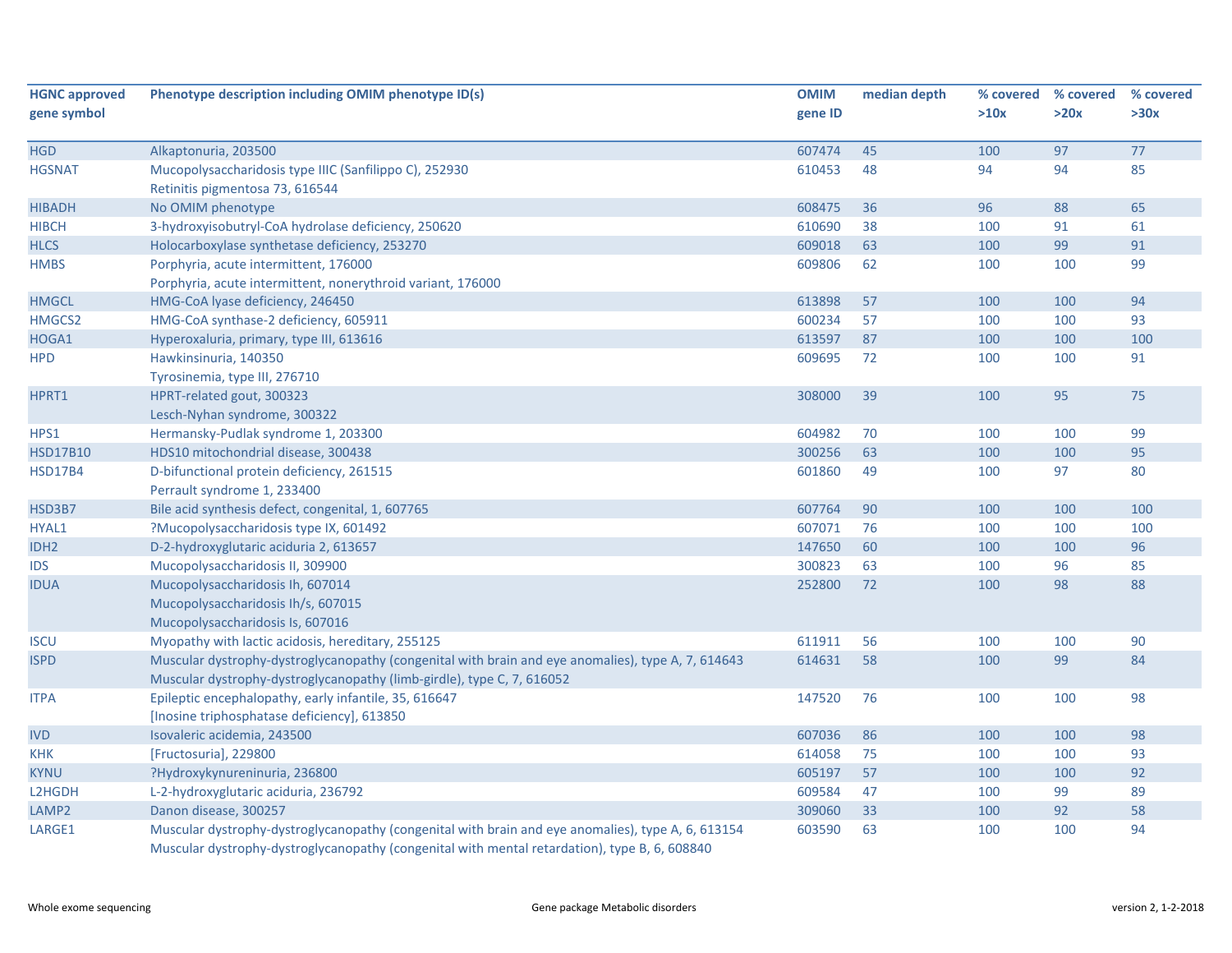| <b>HGNC approved</b> | Phenotype description including OMIM phenotype ID(s)                                               | <b>OMIM</b> | median depth | % covered | % covered | % covered |
|----------------------|----------------------------------------------------------------------------------------------------|-------------|--------------|-----------|-----------|-----------|
| gene symbol          |                                                                                                    | gene ID     |              | >10x      | >20x      | >30x      |
| <b>HGD</b>           | Alkaptonuria, 203500                                                                               | 607474      | 45           | 100       | 97        | 77        |
| <b>HGSNAT</b>        | Mucopolysaccharidosis type IIIC (Sanfilippo C), 252930                                             | 610453      | 48           | 94        | 94        | 85        |
|                      | Retinitis pigmentosa 73, 616544                                                                    |             |              |           |           |           |
| <b>HIBADH</b>        | No OMIM phenotype                                                                                  | 608475      | 36           | 96        | 88        | 65        |
| <b>HIBCH</b>         | 3-hydroxyisobutryl-CoA hydrolase deficiency, 250620                                                | 610690      | 38           | 100       | 91        | 61        |
| <b>HLCS</b>          | Holocarboxylase synthetase deficiency, 253270                                                      | 609018      | 63           | 100       | 99        | 91        |
| <b>HMBS</b>          | Porphyria, acute intermittent, 176000                                                              | 609806      | 62           | 100       | 100       | 99        |
|                      | Porphyria, acute intermittent, nonerythroid variant, 176000                                        |             |              |           |           |           |
| <b>HMGCL</b>         | HMG-CoA lyase deficiency, 246450                                                                   | 613898      | 57           | 100       | 100       | 94        |
| HMGCS2               | HMG-CoA synthase-2 deficiency, 605911                                                              | 600234      | 57           | 100       | 100       | 93        |
|                      |                                                                                                    | 613597      | 87           | 100       | 100       | 100       |
| HOGA1                | Hyperoxaluria, primary, type III, 613616                                                           |             |              |           |           |           |
| <b>HPD</b>           | Hawkinsinuria, 140350<br>Tyrosinemia, type III, 276710                                             | 609695      | 72           | 100       | 100       | 91        |
| HPRT1                | HPRT-related gout, 300323                                                                          | 308000      | 39           | 100       | 95        | 75        |
|                      | Lesch-Nyhan syndrome, 300322                                                                       |             |              |           |           |           |
| HPS1                 | Hermansky-Pudlak syndrome 1, 203300                                                                | 604982      | 70           | 100       | 100       | 99        |
| <b>HSD17B10</b>      | HDS10 mitochondrial disease, 300438                                                                | 300256      | 63           | 100       | 100       | 95        |
| <b>HSD17B4</b>       | D-bifunctional protein deficiency, 261515                                                          | 601860      | 49           | 100       | 97        | 80        |
|                      | Perrault syndrome 1, 233400                                                                        |             |              |           |           |           |
| HSD3B7               | Bile acid synthesis defect, congenital, 1, 607765                                                  | 607764      | 90           | 100       | 100       | 100       |
| HYAL1                | ?Mucopolysaccharidosis type IX, 601492                                                             | 607071      | 76           | 100       | 100       | 100       |
| IDH <sub>2</sub>     | D-2-hydroxyglutaric aciduria 2, 613657                                                             | 147650      | 60           | 100       | 100       | 96        |
| <b>IDS</b>           | Mucopolysaccharidosis II, 309900                                                                   | 300823      | 63           | 100       | 96        | 85        |
| <b>IDUA</b>          | Mucopolysaccharidosis Ih, 607014                                                                   | 252800      | 72           | 100       | 98        | 88        |
|                      | Mucopolysaccharidosis Ih/s, 607015                                                                 |             |              |           |           |           |
|                      | Mucopolysaccharidosis Is, 607016                                                                   |             |              |           |           |           |
| <b>ISCU</b>          | Myopathy with lactic acidosis, hereditary, 255125                                                  | 611911      | 56           | 100       | 100       | 90        |
| <b>ISPD</b>          | Muscular dystrophy-dystroglycanopathy (congenital with brain and eye anomalies), type A, 7, 614643 | 614631      | 58           | 100       | 99        | 84        |
|                      | Muscular dystrophy-dystroglycanopathy (limb-girdle), type C, 7, 616052                             |             |              |           |           |           |
| <b>ITPA</b>          | Epileptic encephalopathy, early infantile, 35, 616647                                              | 147520      | 76           | 100       | 100       | 98        |
|                      | [Inosine triphosphatase deficiency], 613850                                                        |             |              |           |           |           |
| <b>IVD</b>           | Isovaleric acidemia, 243500                                                                        | 607036      | 86           | 100       | 100       | 98        |
| <b>KHK</b>           | [Fructosuria], 229800                                                                              | 614058      | 75           | 100       | 100       | 93        |
| <b>KYNU</b>          | ?Hydroxykynureninuria, 236800                                                                      | 605197      | 57           | 100       | 100       | 92        |
| L2HGDH               | L-2-hydroxyglutaric aciduria, 236792                                                               | 609584      | 47           | 100       | 99        | 89        |
| LAMP2                | Danon disease, 300257                                                                              | 309060      | 33           | 100       | 92        | 58        |
| LARGE1               | Muscular dystrophy-dystroglycanopathy (congenital with brain and eye anomalies), type A, 6, 613154 | 603590      | 63           | 100       | 100       | 94        |
|                      | Muscular dystrophy-dystroglycanopathy (congenital with mental retardation), type B, 6, 608840      |             |              |           |           |           |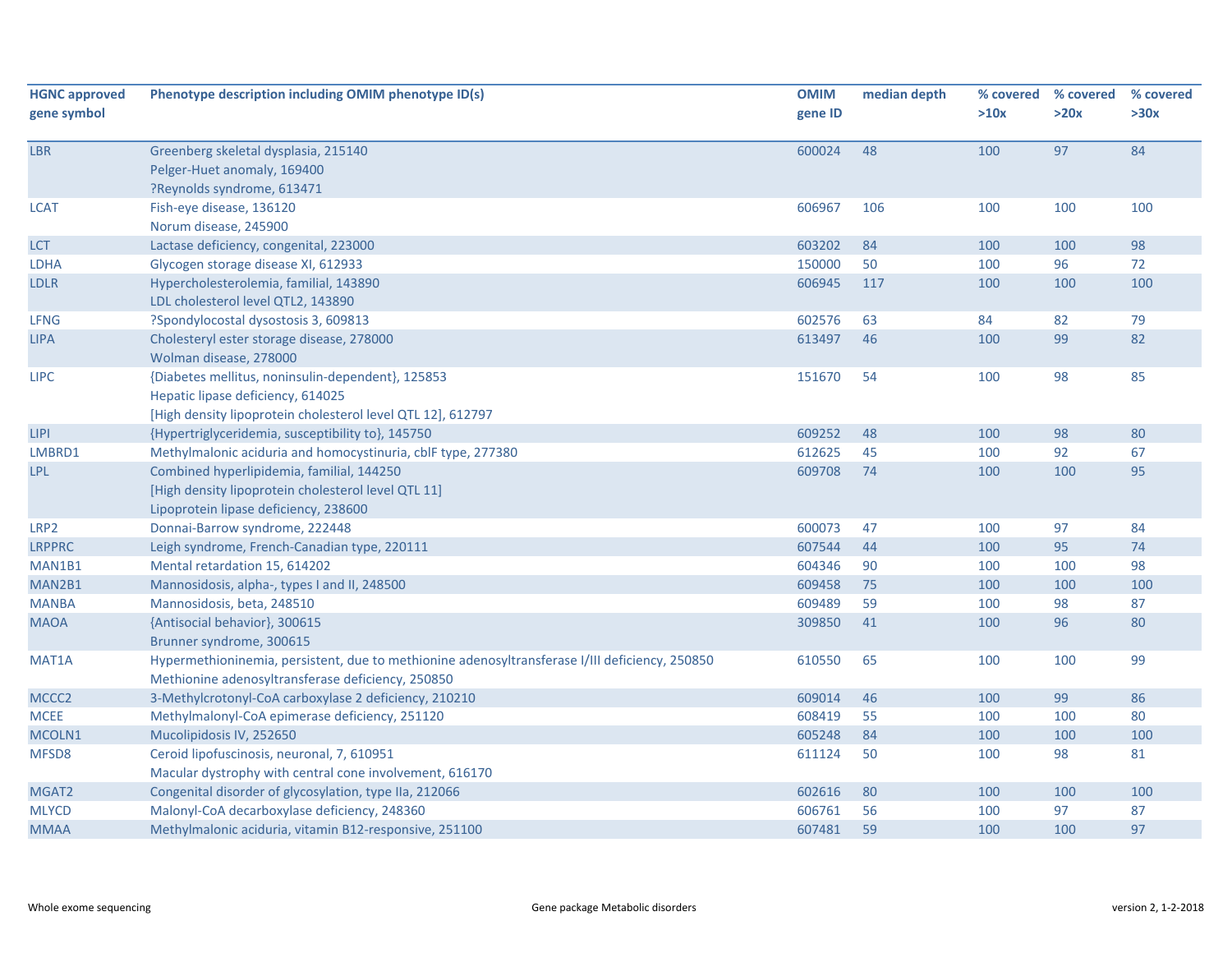| <b>HGNC approved</b><br>gene symbol | Phenotype description including OMIM phenotype ID(s)                                           | <b>OMIM</b><br>gene ID | median depth | >10x | % covered % covered<br>>20x | % covered<br>>30x |
|-------------------------------------|------------------------------------------------------------------------------------------------|------------------------|--------------|------|-----------------------------|-------------------|
| LBR                                 | Greenberg skeletal dysplasia, 215140                                                           | 600024                 | 48           | 100  | 97                          | 84                |
|                                     | Pelger-Huet anomaly, 169400                                                                    |                        |              |      |                             |                   |
|                                     | ?Reynolds syndrome, 613471                                                                     |                        |              |      |                             |                   |
| <b>LCAT</b>                         | Fish-eye disease, 136120                                                                       | 606967                 | 106          | 100  | 100                         | 100               |
|                                     | Norum disease, 245900                                                                          |                        |              |      |                             |                   |
| <b>LCT</b>                          | Lactase deficiency, congenital, 223000                                                         | 603202                 | 84           | 100  | 100                         | 98                |
| LDHA                                | Glycogen storage disease XI, 612933                                                            | 150000                 | 50           | 100  | 96                          | 72                |
| <b>LDLR</b>                         | Hypercholesterolemia, familial, 143890                                                         | 606945                 | 117          | 100  | 100                         | 100               |
|                                     | LDL cholesterol level QTL2, 143890                                                             |                        |              |      |                             |                   |
| <b>LFNG</b>                         | ?Spondylocostal dysostosis 3, 609813                                                           | 602576                 | 63           | 84   | 82                          | 79                |
| <b>LIPA</b>                         | Cholesteryl ester storage disease, 278000                                                      | 613497                 | 46           | 100  | 99                          | 82                |
|                                     | Wolman disease, 278000                                                                         |                        |              |      |                             |                   |
| <b>LIPC</b>                         | {Diabetes mellitus, noninsulin-dependent}, 125853                                              | 151670                 | 54           | 100  | 98                          | 85                |
|                                     | Hepatic lipase deficiency, 614025                                                              |                        |              |      |                             |                   |
|                                     | [High density lipoprotein cholesterol level QTL 12], 612797                                    |                        |              |      |                             |                   |
| <b>LIPI</b>                         | {Hypertriglyceridemia, susceptibility to}, 145750                                              | 609252                 | 48           | 100  | 98                          | 80                |
| LMBRD1                              | Methylmalonic aciduria and homocystinuria, cblF type, 277380                                   | 612625                 | 45           | 100  | 92                          | 67                |
| <b>LPL</b>                          | Combined hyperlipidemia, familial, 144250                                                      | 609708                 | 74           | 100  | 100                         | 95                |
|                                     | [High density lipoprotein cholesterol level QTL 11]                                            |                        |              |      |                             |                   |
|                                     | Lipoprotein lipase deficiency, 238600                                                          |                        |              |      |                             |                   |
| LRP2                                | Donnai-Barrow syndrome, 222448                                                                 | 600073                 | 47           | 100  | 97                          | 84                |
| <b>LRPPRC</b>                       | Leigh syndrome, French-Canadian type, 220111                                                   | 607544                 | 44           | 100  | 95                          | 74                |
| MAN1B1                              | Mental retardation 15, 614202                                                                  | 604346                 | 90           | 100  | 100                         | 98                |
| MAN2B1                              | Mannosidosis, alpha-, types I and II, 248500                                                   | 609458                 | 75           | 100  | 100                         | 100               |
| <b>MANBA</b>                        | Mannosidosis, beta, 248510                                                                     | 609489                 | 59           | 100  | 98                          | 87                |
| <b>MAOA</b>                         | {Antisocial behavior}, 300615                                                                  | 309850                 | 41           | 100  | 96                          | 80                |
|                                     | Brunner syndrome, 300615                                                                       |                        |              |      |                             |                   |
| MAT1A                               | Hypermethioninemia, persistent, due to methionine adenosyltransferase I/III deficiency, 250850 | 610550                 | 65           | 100  | 100                         | 99                |
|                                     | Methionine adenosyltransferase deficiency, 250850                                              |                        |              |      |                             |                   |
| MCCC <sub>2</sub>                   | 3-Methylcrotonyl-CoA carboxylase 2 deficiency, 210210                                          | 609014                 | 46           | 100  | 99                          | 86                |
| <b>MCEE</b>                         | Methylmalonyl-CoA epimerase deficiency, 251120                                                 | 608419                 | 55           | 100  | 100                         | 80                |
| MCOLN1                              | Mucolipidosis IV, 252650                                                                       | 605248                 | 84           | 100  | 100                         | 100               |
| MFSD8                               | Ceroid lipofuscinosis, neuronal, 7, 610951                                                     | 611124                 | 50           | 100  | 98                          | 81                |
|                                     | Macular dystrophy with central cone involvement, 616170                                        |                        |              |      |                             |                   |
| MGAT2                               | Congenital disorder of glycosylation, type IIa, 212066                                         | 602616                 | 80           | 100  | 100                         | 100               |
| <b>MLYCD</b>                        | Malonyl-CoA decarboxylase deficiency, 248360                                                   | 606761                 | 56           | 100  | 97                          | 87                |
| <b>MMAA</b>                         | Methylmalonic aciduria, vitamin B12-responsive, 251100                                         | 607481                 | 59           | 100  | 100                         | 97                |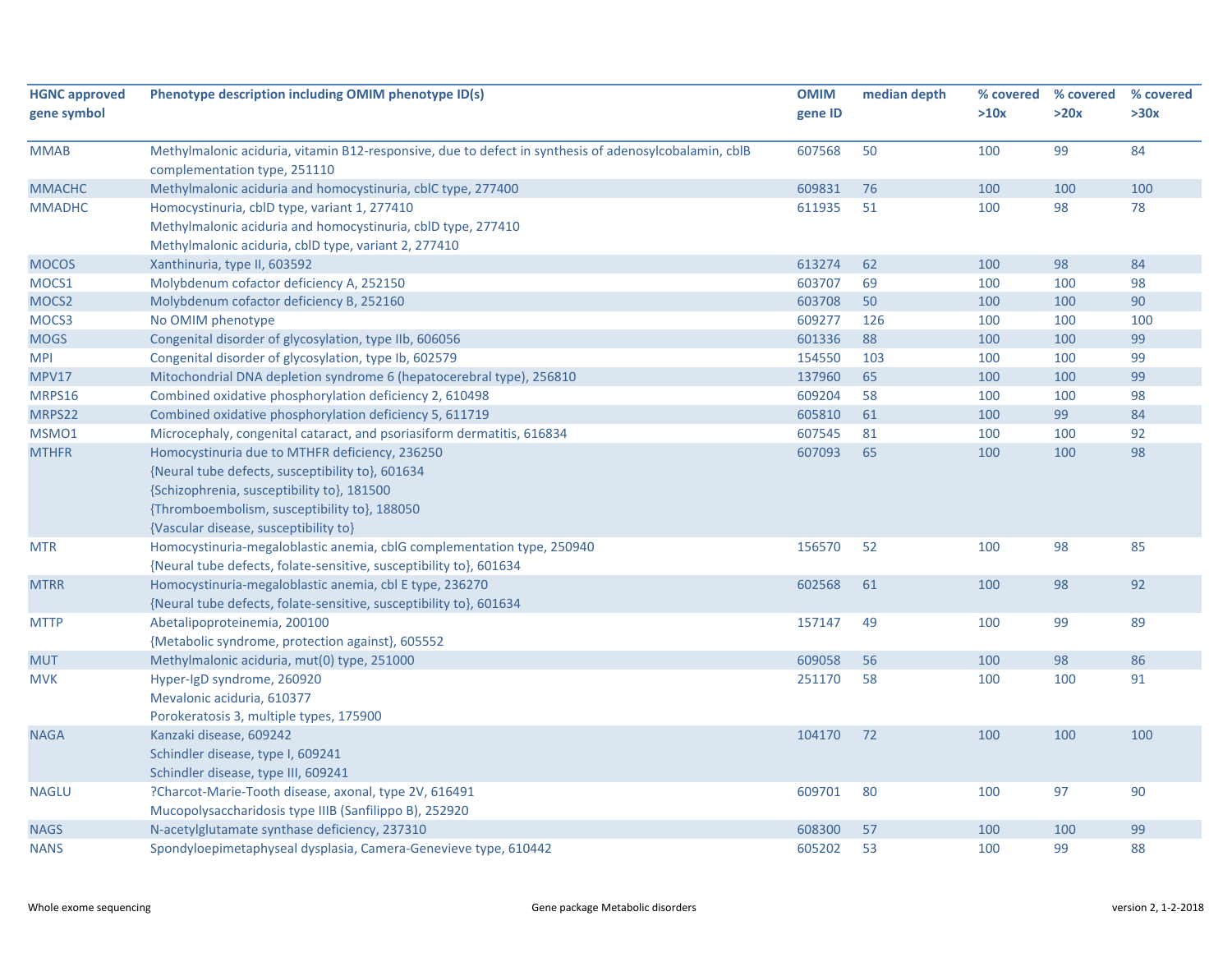| <b>HGNC approved</b><br>gene symbol | Phenotype description including OMIM phenotype ID(s)                                                                                  | <b>OMIM</b><br>gene ID | median depth | % covered<br>>10x | % covered<br>>20x | % covered<br>>30x |
|-------------------------------------|---------------------------------------------------------------------------------------------------------------------------------------|------------------------|--------------|-------------------|-------------------|-------------------|
|                                     |                                                                                                                                       |                        |              |                   |                   |                   |
| <b>MMAB</b>                         | Methylmalonic aciduria, vitamin B12-responsive, due to defect in synthesis of adenosylcobalamin, cblB<br>complementation type, 251110 | 607568                 | 50           | 100               | 99                | 84                |
| <b>MMACHC</b>                       | Methylmalonic aciduria and homocystinuria, cblC type, 277400                                                                          | 609831                 | 76           | 100               | 100               | 100               |
| <b>MMADHC</b>                       | Homocystinuria, cblD type, variant 1, 277410                                                                                          | 611935                 | 51           | 100               | 98                | 78                |
|                                     | Methylmalonic aciduria and homocystinuria, cblD type, 277410                                                                          |                        |              |                   |                   |                   |
|                                     | Methylmalonic aciduria, cblD type, variant 2, 277410                                                                                  |                        |              |                   |                   |                   |
| <b>MOCOS</b>                        | Xanthinuria, type II, 603592                                                                                                          | 613274                 | 62           | 100               | 98                | 84                |
| MOCS1                               | Molybdenum cofactor deficiency A, 252150                                                                                              | 603707                 | 69           | 100               | 100               | 98                |
| MOCS2                               | Molybdenum cofactor deficiency B, 252160                                                                                              | 603708                 | 50           | 100               | 100               | 90                |
| MOCS3                               | No OMIM phenotype                                                                                                                     | 609277                 | 126          | 100               | 100               | 100               |
| <b>MOGS</b>                         | Congenital disorder of glycosylation, type IIb, 606056                                                                                | 601336                 | 88           | 100               | 100               | 99                |
| <b>MPI</b>                          | Congenital disorder of glycosylation, type Ib, 602579                                                                                 | 154550                 | 103          | 100               | 100               | 99                |
| <b>MPV17</b>                        | Mitochondrial DNA depletion syndrome 6 (hepatocerebral type), 256810                                                                  | 137960                 | 65           | 100               | 100               | 99                |
| MRPS16                              | Combined oxidative phosphorylation deficiency 2, 610498                                                                               | 609204                 | 58           | 100               | 100               | 98                |
| MRPS22                              | Combined oxidative phosphorylation deficiency 5, 611719                                                                               | 605810                 | 61           | 100               | 99                | 84                |
| MSMO1                               | Microcephaly, congenital cataract, and psoriasiform dermatitis, 616834                                                                | 607545                 | 81           | 100               | 100               | 92                |
| <b>MTHFR</b>                        | Homocystinuria due to MTHFR deficiency, 236250                                                                                        | 607093                 | 65           | 100               | 100               | 98                |
|                                     | {Neural tube defects, susceptibility to}, 601634                                                                                      |                        |              |                   |                   |                   |
|                                     | {Schizophrenia, susceptibility to}, 181500                                                                                            |                        |              |                   |                   |                   |
|                                     | {Thromboembolism, susceptibility to}, 188050                                                                                          |                        |              |                   |                   |                   |
|                                     | {Vascular disease, susceptibility to}                                                                                                 |                        |              |                   |                   |                   |
| <b>MTR</b>                          | Homocystinuria-megaloblastic anemia, cblG complementation type, 250940                                                                | 156570                 | 52           | 100               | 98                | 85                |
|                                     | {Neural tube defects, folate-sensitive, susceptibility to}, 601634                                                                    |                        |              |                   |                   |                   |
| <b>MTRR</b>                         | Homocystinuria-megaloblastic anemia, cbl E type, 236270                                                                               | 602568                 | 61           | 100               | 98                | 92                |
|                                     | {Neural tube defects, folate-sensitive, susceptibility to}, 601634                                                                    |                        |              |                   |                   |                   |
| <b>MTTP</b>                         | Abetalipoproteinemia, 200100                                                                                                          | 157147                 | 49           | 100               | 99                | 89                |
|                                     | {Metabolic syndrome, protection against}, 605552                                                                                      |                        |              |                   |                   |                   |
| <b>MUT</b>                          | Methylmalonic aciduria, mut(0) type, 251000                                                                                           | 609058                 | 56           | 100               | 98                | 86                |
| <b>MVK</b>                          | Hyper-IgD syndrome, 260920                                                                                                            | 251170                 | 58           | 100               | 100               | 91                |
|                                     | Mevalonic aciduria, 610377                                                                                                            |                        |              |                   |                   |                   |
|                                     | Porokeratosis 3, multiple types, 175900                                                                                               |                        |              |                   |                   |                   |
| <b>NAGA</b>                         | Kanzaki disease, 609242                                                                                                               | 104170                 | 72           | 100               | 100               | 100               |
|                                     | Schindler disease, type I, 609241                                                                                                     |                        |              |                   |                   |                   |
|                                     | Schindler disease, type III, 609241                                                                                                   |                        |              |                   |                   |                   |
| <b>NAGLU</b>                        | ?Charcot-Marie-Tooth disease, axonal, type 2V, 616491                                                                                 | 609701                 | 80           | 100               | 97                | 90                |
|                                     | Mucopolysaccharidosis type IIIB (Sanfilippo B), 252920                                                                                |                        |              |                   |                   |                   |
| <b>NAGS</b>                         | N-acetylglutamate synthase deficiency, 237310                                                                                         | 608300                 | 57           | 100               | 100               | 99                |
| <b>NANS</b>                         | Spondyloepimetaphyseal dysplasia, Camera-Genevieve type, 610442                                                                       | 605202                 | 53           | 100               | 99                | 88                |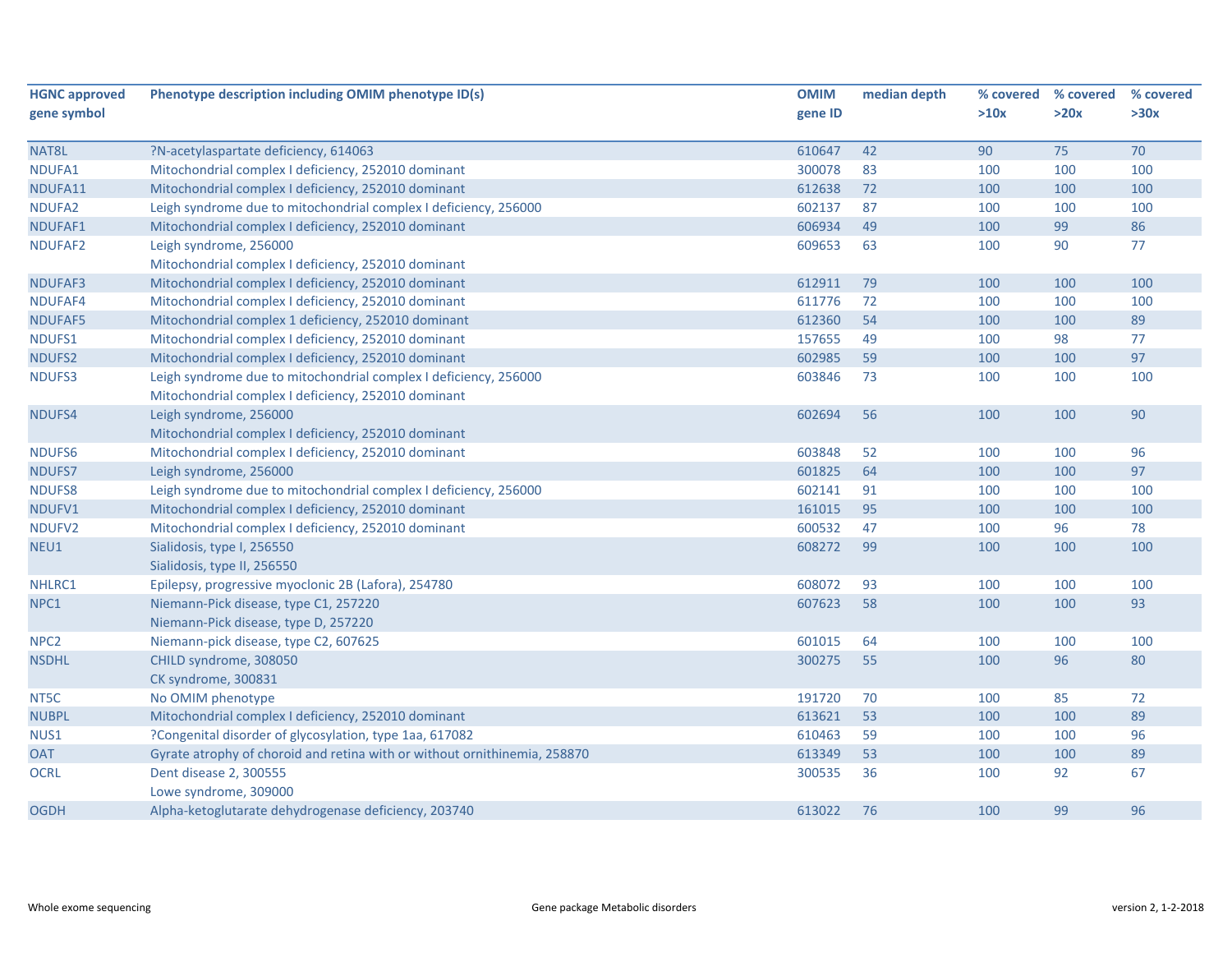| <b>HGNC approved</b> | Phenotype description including OMIM phenotype ID(s)                      | <b>OMIM</b> | median depth | % covered | % covered | % covered |
|----------------------|---------------------------------------------------------------------------|-------------|--------------|-----------|-----------|-----------|
| gene symbol          |                                                                           | gene ID     |              | >10x      | >20x      | >30x      |
| NAT8L                | ?N-acetylaspartate deficiency, 614063                                     | 610647      | 42           | 90        | 75        | 70        |
| NDUFA1               | Mitochondrial complex I deficiency, 252010 dominant                       | 300078      | 83           | 100       | 100       | 100       |
| NDUFA11              | Mitochondrial complex I deficiency, 252010 dominant                       | 612638      | 72           | 100       | 100       | 100       |
| NDUFA2               | Leigh syndrome due to mitochondrial complex I deficiency, 256000          | 602137      | 87           | 100       | 100       | 100       |
| NDUFAF1              | Mitochondrial complex I deficiency, 252010 dominant                       | 606934      | 49           | 100       | 99        | 86        |
| NDUFAF2              | Leigh syndrome, 256000                                                    | 609653      | 63           | 100       | 90        | 77        |
|                      | Mitochondrial complex I deficiency, 252010 dominant                       |             |              |           |           |           |
| NDUFAF3              | Mitochondrial complex I deficiency, 252010 dominant                       | 612911      | 79           | 100       | 100       | 100       |
| NDUFAF4              | Mitochondrial complex I deficiency, 252010 dominant                       | 611776      | 72           | 100       | 100       | 100       |
| <b>NDUFAF5</b>       | Mitochondrial complex 1 deficiency, 252010 dominant                       | 612360      | 54           | 100       | 100       | 89        |
| NDUFS1               | Mitochondrial complex I deficiency, 252010 dominant                       | 157655      | 49           | 100       | 98        | 77        |
| NDUFS2               | Mitochondrial complex I deficiency, 252010 dominant                       | 602985      | 59           | 100       | 100       | 97        |
| NDUFS3               | Leigh syndrome due to mitochondrial complex I deficiency, 256000          | 603846      | 73           | 100       | 100       | 100       |
|                      | Mitochondrial complex I deficiency, 252010 dominant                       |             |              |           |           |           |
| NDUFS4               | Leigh syndrome, 256000                                                    | 602694      | 56           | 100       | 100       | 90        |
|                      | Mitochondrial complex I deficiency, 252010 dominant                       |             |              |           |           |           |
| NDUFS6               | Mitochondrial complex I deficiency, 252010 dominant                       | 603848      | 52           | 100       | 100       | 96        |
| <b>NDUFS7</b>        | Leigh syndrome, 256000                                                    | 601825      | 64           | 100       | 100       | 97        |
| NDUFS8               | Leigh syndrome due to mitochondrial complex I deficiency, 256000          | 602141      | 91           | 100       | 100       | 100       |
| NDUFV1               | Mitochondrial complex I deficiency, 252010 dominant                       | 161015      | 95           | 100       | 100       | 100       |
| NDUFV2               | Mitochondrial complex I deficiency, 252010 dominant                       | 600532      | 47           | 100       | 96        | 78        |
| NEU1                 | Sialidosis, type I, 256550                                                | 608272      | 99           | 100       | 100       | 100       |
|                      | Sialidosis, type II, 256550                                               |             |              |           |           |           |
| NHLRC1               | Epilepsy, progressive myoclonic 2B (Lafora), 254780                       | 608072      | 93           | 100       | 100       | 100       |
| NPC1                 | Niemann-Pick disease, type C1, 257220                                     | 607623      | 58           | 100       | 100       | 93        |
|                      | Niemann-Pick disease, type D, 257220                                      |             |              |           |           |           |
| NPC <sub>2</sub>     | Niemann-pick disease, type C2, 607625                                     | 601015      | 64           | 100       | 100       | 100       |
| <b>NSDHL</b>         | CHILD syndrome, 308050                                                    | 300275      | 55           | 100       | 96        | 80        |
|                      | CK syndrome, 300831                                                       |             |              |           |           |           |
| NT5C                 | No OMIM phenotype                                                         | 191720      | 70           | 100       | 85        | 72        |
| <b>NUBPL</b>         | Mitochondrial complex I deficiency, 252010 dominant                       | 613621      | 53           | 100       | 100       | 89        |
| NUS1                 | ?Congenital disorder of glycosylation, type 1aa, 617082                   | 610463      | 59           | 100       | 100       | 96        |
| <b>OAT</b>           | Gyrate atrophy of choroid and retina with or without ornithinemia, 258870 | 613349      | 53           | 100       | 100       | 89        |
| OCRL                 | Dent disease 2, 300555                                                    | 300535      | 36           | 100       | 92        | 67        |
|                      | Lowe syndrome, 309000                                                     |             |              |           |           |           |
| <b>OGDH</b>          | Alpha-ketoglutarate dehydrogenase deficiency, 203740                      | 613022      | 76           | 100       | 99        | 96        |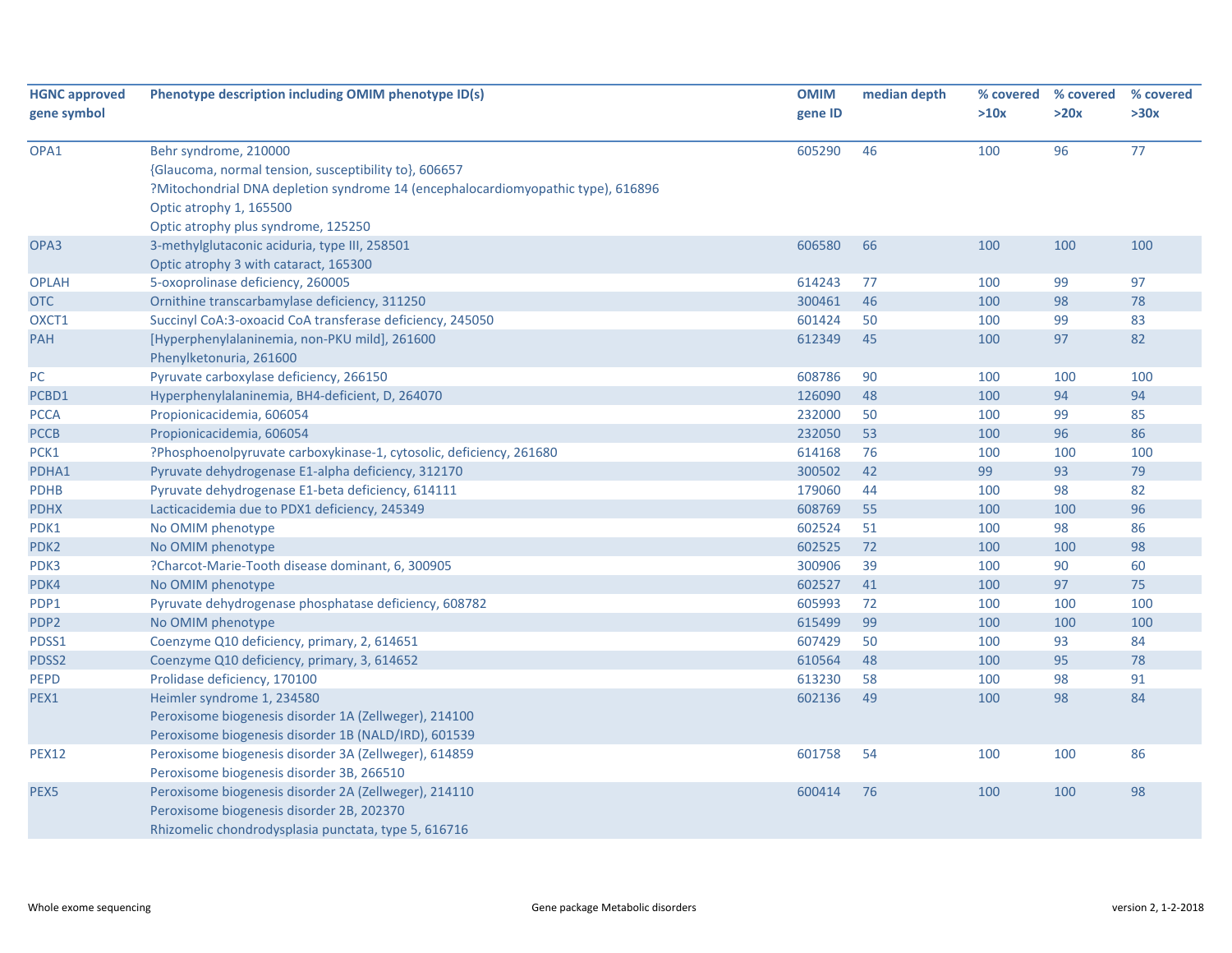| <b>HGNC approved</b><br>gene symbol | Phenotype description including OMIM phenotype ID(s)                                                                                                                                                                                 | <b>OMIM</b><br>gene ID | median depth | % covered<br>>10x | % covered<br>>20x | % covered<br>>30x |
|-------------------------------------|--------------------------------------------------------------------------------------------------------------------------------------------------------------------------------------------------------------------------------------|------------------------|--------------|-------------------|-------------------|-------------------|
|                                     |                                                                                                                                                                                                                                      |                        |              |                   |                   |                   |
| OPA1                                | Behr syndrome, 210000<br>{Glaucoma, normal tension, susceptibility to}, 606657<br>?Mitochondrial DNA depletion syndrome 14 (encephalocardiomyopathic type), 616896<br>Optic atrophy 1, 165500<br>Optic atrophy plus syndrome, 125250 | 605290                 | 46           | 100               | 96                | 77                |
| OPA3                                | 3-methylglutaconic aciduria, type III, 258501<br>Optic atrophy 3 with cataract, 165300                                                                                                                                               | 606580                 | 66           | 100               | 100               | 100               |
| <b>OPLAH</b>                        | 5-oxoprolinase deficiency, 260005                                                                                                                                                                                                    | 614243                 | 77           | 100               | 99                | 97                |
| <b>OTC</b>                          | Ornithine transcarbamylase deficiency, 311250                                                                                                                                                                                        | 300461                 | 46           | 100               | 98                | 78                |
| OXCT1                               | Succinyl CoA:3-oxoacid CoA transferase deficiency, 245050                                                                                                                                                                            | 601424                 | 50           | 100               | 99                | 83                |
| PAH                                 | [Hyperphenylalaninemia, non-PKU mild], 261600<br>Phenylketonuria, 261600                                                                                                                                                             | 612349                 | 45           | 100               | 97                | 82                |
| PC                                  | Pyruvate carboxylase deficiency, 266150                                                                                                                                                                                              | 608786                 | 90           | 100               | 100               | 100               |
| PCBD1                               | Hyperphenylalaninemia, BH4-deficient, D, 264070                                                                                                                                                                                      | 126090                 | 48           | 100               | 94                | 94                |
| <b>PCCA</b>                         | Propionicacidemia, 606054                                                                                                                                                                                                            | 232000                 | 50           | 100               | 99                | 85                |
| <b>PCCB</b>                         | Propionicacidemia, 606054                                                                                                                                                                                                            | 232050                 | 53           | 100               | 96                | 86                |
| PCK1                                | ?Phosphoenolpyruvate carboxykinase-1, cytosolic, deficiency, 261680                                                                                                                                                                  | 614168                 | 76           | 100               | 100               | 100               |
| PDHA1                               | Pyruvate dehydrogenase E1-alpha deficiency, 312170                                                                                                                                                                                   | 300502                 | 42           | 99                | 93                | 79                |
| <b>PDHB</b>                         | Pyruvate dehydrogenase E1-beta deficiency, 614111                                                                                                                                                                                    | 179060                 | 44           | 100               | 98                | 82                |
| <b>PDHX</b>                         | Lacticacidemia due to PDX1 deficiency, 245349                                                                                                                                                                                        | 608769                 | 55           | 100               | 100               | 96                |
| PDK1                                | No OMIM phenotype                                                                                                                                                                                                                    | 602524                 | 51           | 100               | 98                | 86                |
| PDK <sub>2</sub>                    | No OMIM phenotype                                                                                                                                                                                                                    | 602525                 | 72           | 100               | 100               | 98                |
| PDK3                                | ?Charcot-Marie-Tooth disease dominant, 6, 300905                                                                                                                                                                                     | 300906                 | 39           | 100               | 90                | 60                |
| PDK4                                | No OMIM phenotype                                                                                                                                                                                                                    | 602527                 | 41           | 100               | 97                | 75                |
| PDP1                                | Pyruvate dehydrogenase phosphatase deficiency, 608782                                                                                                                                                                                | 605993                 | 72           | 100               | 100               | 100               |
| PDP <sub>2</sub>                    | No OMIM phenotype                                                                                                                                                                                                                    | 615499                 | 99           | 100               | 100               | 100               |
| PDSS1                               | Coenzyme Q10 deficiency, primary, 2, 614651                                                                                                                                                                                          | 607429                 | 50           | 100               | 93                | 84                |
| PDSS2                               | Coenzyme Q10 deficiency, primary, 3, 614652                                                                                                                                                                                          | 610564                 | 48           | 100               | 95                | 78                |
| <b>PEPD</b>                         | Prolidase deficiency, 170100                                                                                                                                                                                                         | 613230                 | 58           | 100               | 98                | 91                |
| PEX1                                | Heimler syndrome 1, 234580                                                                                                                                                                                                           | 602136                 | 49           | 100               | 98                | 84                |
|                                     | Peroxisome biogenesis disorder 1A (Zellweger), 214100<br>Peroxisome biogenesis disorder 1B (NALD/IRD), 601539                                                                                                                        |                        |              |                   |                   |                   |
| <b>PEX12</b>                        | Peroxisome biogenesis disorder 3A (Zellweger), 614859<br>Peroxisome biogenesis disorder 3B, 266510                                                                                                                                   | 601758                 | 54           | 100               | 100               | 86                |
| PEX5                                | Peroxisome biogenesis disorder 2A (Zellweger), 214110<br>Peroxisome biogenesis disorder 2B, 202370<br>Rhizomelic chondrodysplasia punctata, type 5, 616716                                                                           | 600414                 | 76           | 100               | 100               | 98                |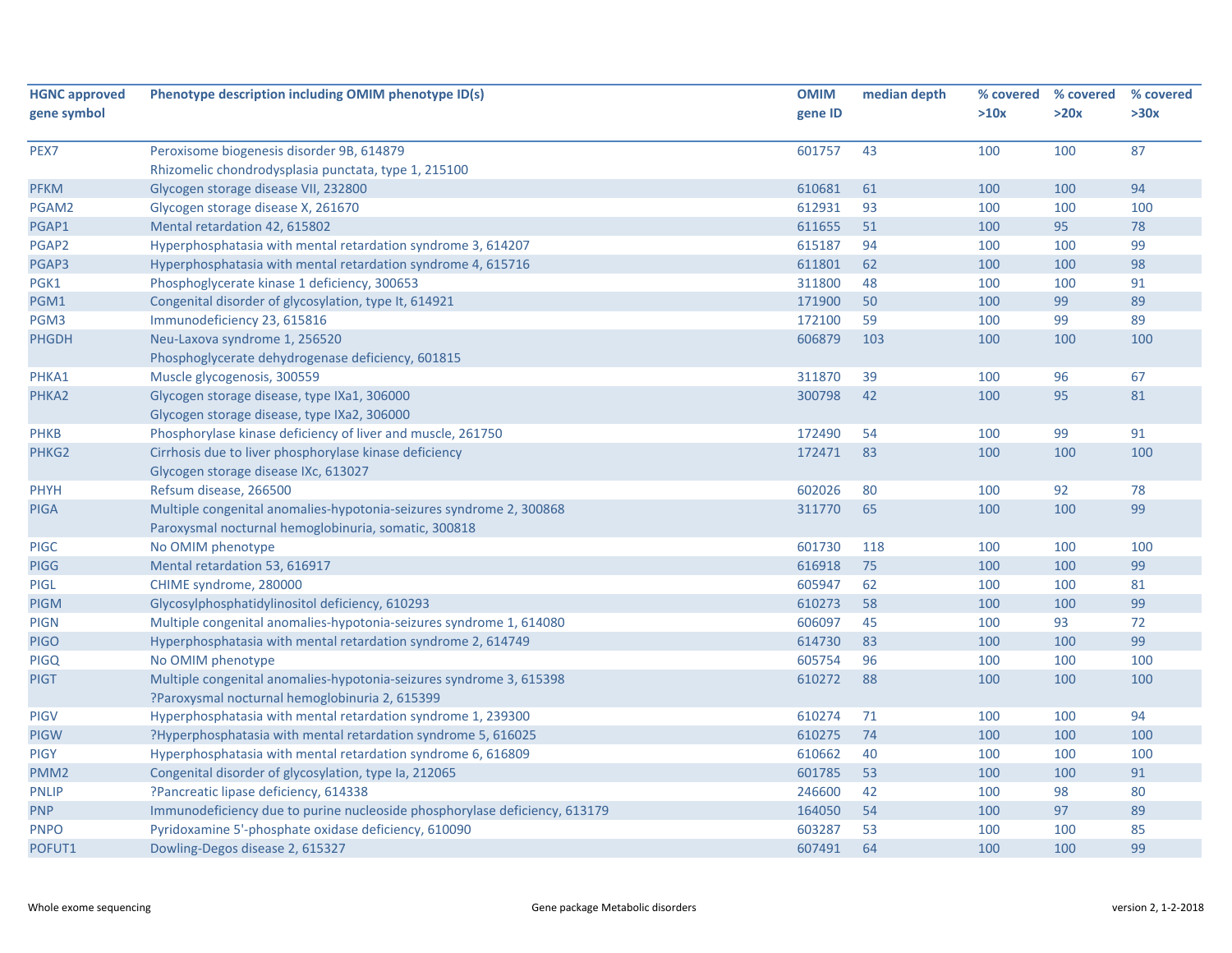| <b>HGNC approved</b> | Phenotype description including OMIM phenotype ID(s)                       | <b>OMIM</b> | median depth |      | % covered % covered | % covered |
|----------------------|----------------------------------------------------------------------------|-------------|--------------|------|---------------------|-----------|
| gene symbol          |                                                                            | gene ID     |              | >10x | >20x                | >30x      |
| PEX7                 | Peroxisome biogenesis disorder 9B, 614879                                  | 601757      | 43           | 100  | 100                 | 87        |
|                      | Rhizomelic chondrodysplasia punctata, type 1, 215100                       |             |              |      |                     |           |
| <b>PFKM</b>          | Glycogen storage disease VII, 232800                                       | 610681      | 61           | 100  | 100                 | 94        |
| PGAM2                | Glycogen storage disease X, 261670                                         | 612931      | 93           | 100  | 100                 | 100       |
| PGAP1                | Mental retardation 42, 615802                                              | 611655      | 51           | 100  | 95                  | 78        |
| PGAP2                | Hyperphosphatasia with mental retardation syndrome 3, 614207               | 615187      | 94           | 100  | 100                 | 99        |
| PGAP3                | Hyperphosphatasia with mental retardation syndrome 4, 615716               | 611801      | 62           | 100  | 100                 | 98        |
| PGK1                 | Phosphoglycerate kinase 1 deficiency, 300653                               | 311800      | 48           | 100  | 100                 | 91        |
| PGM1                 | Congenital disorder of glycosylation, type It, 614921                      | 171900      | 50           | 100  | 99                  | 89        |
| PGM3                 | Immunodeficiency 23, 615816                                                | 172100      | 59           | 100  | 99                  | 89        |
| <b>PHGDH</b>         | Neu-Laxova syndrome 1, 256520                                              | 606879      | 103          | 100  | 100                 | 100       |
|                      | Phosphoglycerate dehydrogenase deficiency, 601815                          |             |              |      |                     |           |
| PHKA1                | Muscle glycogenosis, 300559                                                | 311870      | 39           | 100  | 96                  | 67        |
| PHKA2                | Glycogen storage disease, type IXa1, 306000                                | 300798      | 42           | 100  | 95                  | 81        |
|                      | Glycogen storage disease, type IXa2, 306000                                |             |              |      |                     |           |
| PHKB                 | Phosphorylase kinase deficiency of liver and muscle, 261750                | 172490      | 54           | 100  | 99                  | 91        |
| PHKG2                | Cirrhosis due to liver phosphorylase kinase deficiency                     | 172471      | 83           | 100  | 100                 | 100       |
|                      | Glycogen storage disease IXc, 613027                                       |             |              |      |                     |           |
| <b>PHYH</b>          | Refsum disease, 266500                                                     | 602026      | 80           | 100  | 92                  | 78        |
| <b>PIGA</b>          | Multiple congenital anomalies-hypotonia-seizures syndrome 2, 300868        | 311770      | 65           | 100  | 100                 | 99        |
|                      | Paroxysmal nocturnal hemoglobinuria, somatic, 300818                       |             |              |      |                     |           |
| <b>PIGC</b>          | No OMIM phenotype                                                          | 601730      | 118          | 100  | 100                 | 100       |
| <b>PIGG</b>          | Mental retardation 53, 616917                                              | 616918      | 75           | 100  | 100                 | 99        |
| <b>PIGL</b>          | CHIME syndrome, 280000                                                     | 605947      | 62           | 100  | 100                 | 81        |
| <b>PIGM</b>          | Glycosylphosphatidylinositol deficiency, 610293                            | 610273      | 58           | 100  | 100                 | 99        |
| <b>PIGN</b>          | Multiple congenital anomalies-hypotonia-seizures syndrome 1, 614080        | 606097      | 45           | 100  | 93                  | 72        |
| <b>PIGO</b>          | Hyperphosphatasia with mental retardation syndrome 2, 614749               | 614730      | 83           | 100  | 100                 | 99        |
| <b>PIGQ</b>          | No OMIM phenotype                                                          | 605754      | 96           | 100  | 100                 | 100       |
| <b>PIGT</b>          | Multiple congenital anomalies-hypotonia-seizures syndrome 3, 615398        | 610272      | 88           | 100  | 100                 | 100       |
|                      | ?Paroxysmal nocturnal hemoglobinuria 2, 615399                             |             |              |      |                     |           |
| <b>PIGV</b>          | Hyperphosphatasia with mental retardation syndrome 1, 239300               | 610274      | 71           | 100  | 100                 | 94        |
| <b>PIGW</b>          | ?Hyperphosphatasia with mental retardation syndrome 5, 616025              | 610275      | 74           | 100  | 100                 | 100       |
| <b>PIGY</b>          | Hyperphosphatasia with mental retardation syndrome 6, 616809               | 610662      | 40           | 100  | 100                 | 100       |
| PMM <sub>2</sub>     | Congenital disorder of glycosylation, type Ia, 212065                      | 601785      | 53           | 100  | 100                 | 91        |
| <b>PNLIP</b>         | ?Pancreatic lipase deficiency, 614338                                      | 246600      | 42           | 100  | 98                  | 80        |
| <b>PNP</b>           | Immunodeficiency due to purine nucleoside phosphorylase deficiency, 613179 | 164050      | 54           | 100  | 97                  | 89        |
| <b>PNPO</b>          | Pyridoxamine 5'-phosphate oxidase deficiency, 610090                       | 603287      | 53           | 100  | 100                 | 85        |
| POFUT1               | Dowling-Degos disease 2, 615327                                            | 607491      | 64           | 100  | 100                 | 99        |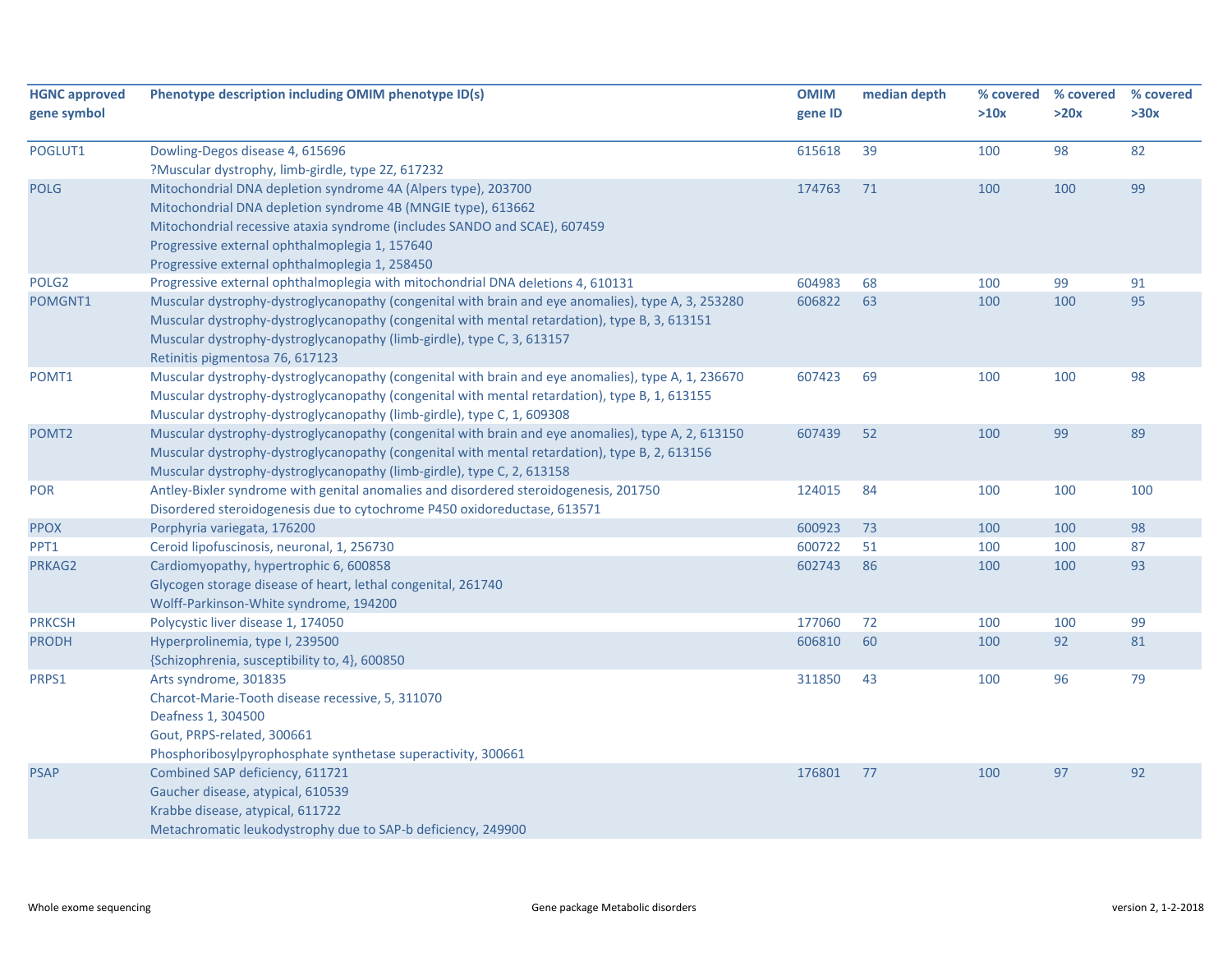| <b>HGNC approved</b> | Phenotype description including OMIM phenotype ID(s)                                               | <b>OMIM</b> | median depth | % covered | % covered | % covered |
|----------------------|----------------------------------------------------------------------------------------------------|-------------|--------------|-----------|-----------|-----------|
| gene symbol          |                                                                                                    | gene ID     |              | >10x      | >20x      | >30x      |
| POGLUT1              | Dowling-Degos disease 4, 615696                                                                    | 615618      | 39           | 100       | 98        | 82        |
|                      | ?Muscular dystrophy, limb-girdle, type 2Z, 617232                                                  |             |              |           |           |           |
| <b>POLG</b>          | Mitochondrial DNA depletion syndrome 4A (Alpers type), 203700                                      | 174763      | 71           | 100       | 100       | 99        |
|                      | Mitochondrial DNA depletion syndrome 4B (MNGIE type), 613662                                       |             |              |           |           |           |
|                      | Mitochondrial recessive ataxia syndrome (includes SANDO and SCAE), 607459                          |             |              |           |           |           |
|                      | Progressive external ophthalmoplegia 1, 157640                                                     |             |              |           |           |           |
|                      | Progressive external ophthalmoplegia 1, 258450                                                     |             |              |           |           |           |
| POLG <sub>2</sub>    | Progressive external ophthalmoplegia with mitochondrial DNA deletions 4, 610131                    | 604983      | 68           | 100       | 99        | 91        |
| POMGNT1              | Muscular dystrophy-dystroglycanopathy (congenital with brain and eye anomalies), type A, 3, 253280 | 606822      | 63           | 100       | 100       | 95        |
|                      | Muscular dystrophy-dystroglycanopathy (congenital with mental retardation), type B, 3, 613151      |             |              |           |           |           |
|                      | Muscular dystrophy-dystroglycanopathy (limb-girdle), type C, 3, 613157                             |             |              |           |           |           |
|                      | Retinitis pigmentosa 76, 617123                                                                    |             |              |           |           |           |
| POMT1                | Muscular dystrophy-dystroglycanopathy (congenital with brain and eye anomalies), type A, 1, 236670 | 607423      | 69           | 100       | 100       | 98        |
|                      | Muscular dystrophy-dystroglycanopathy (congenital with mental retardation), type B, 1, 613155      |             |              |           |           |           |
|                      | Muscular dystrophy-dystroglycanopathy (limb-girdle), type C, 1, 609308                             |             |              |           |           |           |
| POMT <sub>2</sub>    | Muscular dystrophy-dystroglycanopathy (congenital with brain and eye anomalies), type A, 2, 613150 | 607439      | 52           | 100       | 99        | 89        |
|                      | Muscular dystrophy-dystroglycanopathy (congenital with mental retardation), type B, 2, 613156      |             |              |           |           |           |
|                      | Muscular dystrophy-dystroglycanopathy (limb-girdle), type C, 2, 613158                             |             |              |           |           |           |
| <b>POR</b>           | Antley-Bixler syndrome with genital anomalies and disordered steroidogenesis, 201750               | 124015      | 84           | 100       | 100       | 100       |
|                      | Disordered steroidogenesis due to cytochrome P450 oxidoreductase, 613571                           |             |              |           |           |           |
| <b>PPOX</b>          | Porphyria variegata, 176200                                                                        | 600923      | 73           | 100       | 100       | 98        |
| PPT1                 | Ceroid lipofuscinosis, neuronal, 1, 256730                                                         | 600722      | 51           | 100       | 100       | 87        |
| PRKAG2               | Cardiomyopathy, hypertrophic 6, 600858                                                             | 602743      | 86           | 100       | 100       | 93        |
|                      | Glycogen storage disease of heart, lethal congenital, 261740                                       |             |              |           |           |           |
|                      | Wolff-Parkinson-White syndrome, 194200                                                             |             |              |           |           |           |
| <b>PRKCSH</b>        | Polycystic liver disease 1, 174050                                                                 | 177060      | 72           | 100       | 100       | 99        |
| <b>PRODH</b>         | Hyperprolinemia, type I, 239500                                                                    | 606810      | 60           | 100       | 92        | 81        |
|                      | {Schizophrenia, susceptibility to, 4}, 600850                                                      |             |              |           |           |           |
| PRPS1                | Arts syndrome, 301835                                                                              | 311850      | 43           | 100       | 96        | 79        |
|                      | Charcot-Marie-Tooth disease recessive, 5, 311070                                                   |             |              |           |           |           |
|                      | Deafness 1, 304500                                                                                 |             |              |           |           |           |
|                      | Gout, PRPS-related, 300661                                                                         |             |              |           |           |           |
|                      | Phosphoribosylpyrophosphate synthetase superactivity, 300661                                       |             |              |           |           |           |
| <b>PSAP</b>          | Combined SAP deficiency, 611721                                                                    | 176801      | 77           | 100       | 97        | 92        |
|                      | Gaucher disease, atypical, 610539                                                                  |             |              |           |           |           |
|                      | Krabbe disease, atypical, 611722                                                                   |             |              |           |           |           |
|                      | Metachromatic leukodystrophy due to SAP-b deficiency, 249900                                       |             |              |           |           |           |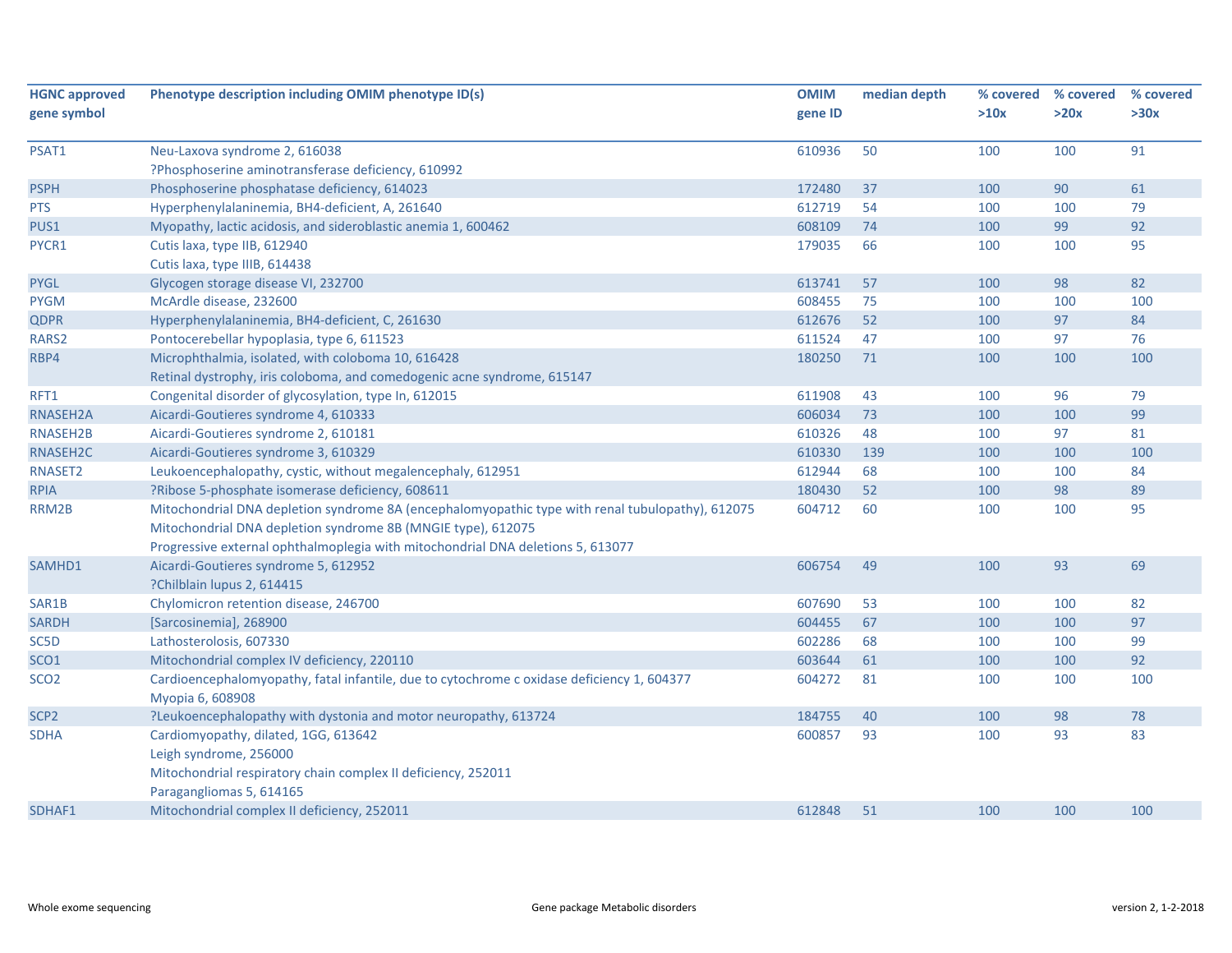| <b>HGNC approved</b> | Phenotype description including OMIM phenotype ID(s)                                                           | <b>OMIM</b> | median depth | % covered | % covered | % covered |
|----------------------|----------------------------------------------------------------------------------------------------------------|-------------|--------------|-----------|-----------|-----------|
| gene symbol          |                                                                                                                | gene ID     |              | >10x      | >20x      | >30x      |
|                      |                                                                                                                |             |              |           |           |           |
| PSAT1                | Neu-Laxova syndrome 2, 616038                                                                                  | 610936      | 50           | 100       | 100       | 91        |
|                      | ?Phosphoserine aminotransferase deficiency, 610992                                                             |             |              |           |           |           |
| <b>PSPH</b>          | Phosphoserine phosphatase deficiency, 614023                                                                   | 172480      | 37           | 100       | 90        | 61        |
| <b>PTS</b>           | Hyperphenylalaninemia, BH4-deficient, A, 261640                                                                | 612719      | 54           | 100       | 100       | 79        |
| PUS1                 | Myopathy, lactic acidosis, and sideroblastic anemia 1, 600462                                                  | 608109      | 74           | 100       | 99        | 92        |
| PYCR1                | Cutis laxa, type IIB, 612940                                                                                   | 179035      | 66           | 100       | 100       | 95        |
|                      | Cutis laxa, type IIIB, 614438                                                                                  |             |              |           |           |           |
| <b>PYGL</b>          | Glycogen storage disease VI, 232700                                                                            | 613741      | 57           | 100       | 98        | 82        |
| <b>PYGM</b>          | McArdle disease, 232600                                                                                        | 608455      | 75           | 100       | 100       | 100       |
| <b>QDPR</b>          | Hyperphenylalaninemia, BH4-deficient, C, 261630                                                                | 612676      | 52           | 100       | 97        | 84        |
| RARS2                | Pontocerebellar hypoplasia, type 6, 611523                                                                     | 611524      | 47           | 100       | 97        | 76        |
| RBP4                 | Microphthalmia, isolated, with coloboma 10, 616428                                                             | 180250      | 71           | 100       | 100       | 100       |
|                      | Retinal dystrophy, iris coloboma, and comedogenic acne syndrome, 615147                                        |             |              |           |           |           |
| RFT1                 | Congenital disorder of glycosylation, type In, 612015                                                          | 611908      | 43           | 100       | 96        | 79        |
| RNASEH2A             | Aicardi-Goutieres syndrome 4, 610333                                                                           | 606034      | 73           | 100       | 100       | 99        |
| RNASEH2B             | Aicardi-Goutieres syndrome 2, 610181                                                                           | 610326      | 48           | 100       | 97        | 81        |
| RNASEH2C             | Aicardi-Goutieres syndrome 3, 610329                                                                           | 610330      | 139          | 100       | 100       | 100       |
| RNASET2              | Leukoencephalopathy, cystic, without megalencephaly, 612951                                                    | 612944      | 68           | 100       | 100       | 84        |
| <b>RPIA</b>          | ?Ribose 5-phosphate isomerase deficiency, 608611                                                               | 180430      | 52           | 100       | 98        | 89        |
| RRM2B                | Mitochondrial DNA depletion syndrome 8A (encephalomyopathic type with renal tubulopathy), 612075               | 604712      | 60           | 100       | 100       | 95        |
|                      | Mitochondrial DNA depletion syndrome 8B (MNGIE type), 612075                                                   |             |              |           |           |           |
|                      | Progressive external ophthalmoplegia with mitochondrial DNA deletions 5, 613077                                |             |              |           |           |           |
| SAMHD1               | Aicardi-Goutieres syndrome 5, 612952                                                                           | 606754      | 49           | 100       | 93        | 69        |
|                      | ?Chilblain lupus 2, 614415                                                                                     |             |              |           |           |           |
| SAR1B                | Chylomicron retention disease, 246700                                                                          | 607690      | 53           | 100       | 100       | 82        |
| <b>SARDH</b>         | [Sarcosinemia], 268900                                                                                         | 604455      | 67           | 100       | 100       | 97        |
| SC5D                 | Lathosterolosis, 607330                                                                                        | 602286      | 68           | 100       | 100       | 99        |
| SCO <sub>1</sub>     | Mitochondrial complex IV deficiency, 220110                                                                    | 603644      | 61           | 100       | 100       | 92        |
| SCO <sub>2</sub>     | Cardioencephalomyopathy, fatal infantile, due to cytochrome c oxidase deficiency 1, 604377<br>Myopia 6, 608908 | 604272      | 81           | 100       | 100       | 100       |
| SCP <sub>2</sub>     | ?Leukoencephalopathy with dystonia and motor neuropathy, 613724                                                | 184755      | 40           | 100       | 98        | 78        |
| <b>SDHA</b>          | Cardiomyopathy, dilated, 1GG, 613642                                                                           | 600857      | 93           | 100       | 93        | 83        |
|                      | Leigh syndrome, 256000                                                                                         |             |              |           |           |           |
|                      | Mitochondrial respiratory chain complex II deficiency, 252011                                                  |             |              |           |           |           |
|                      | Paragangliomas 5, 614165                                                                                       |             |              |           |           |           |
| SDHAF1               | Mitochondrial complex II deficiency, 252011                                                                    | 612848      | 51           | 100       | 100       | 100       |
|                      |                                                                                                                |             |              |           |           |           |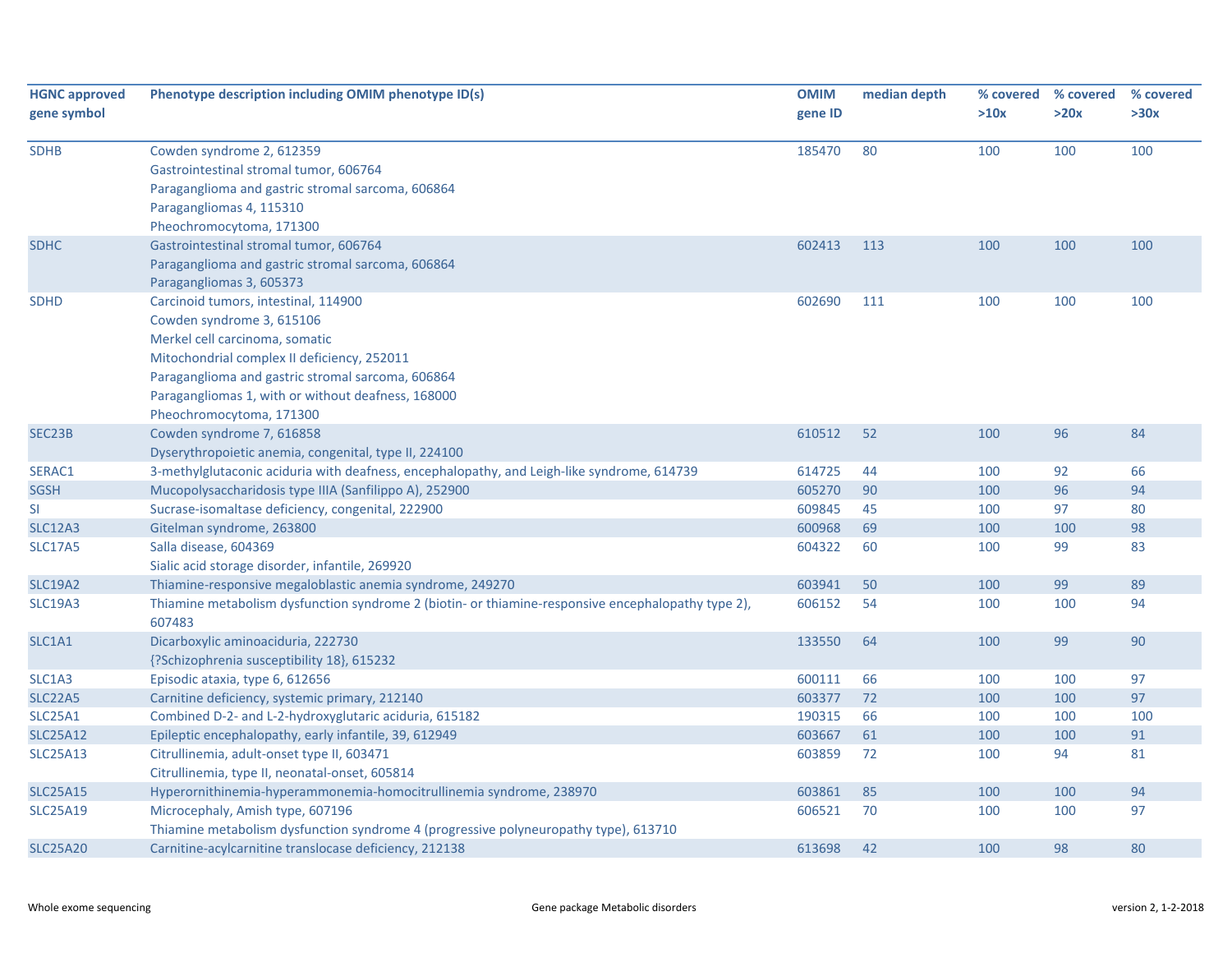| <b>HGNC approved</b><br>gene symbol | Phenotype description including OMIM phenotype ID(s)                                                                                                                                                                                                                                      | <b>OMIM</b><br>gene ID | median depth | % covered<br>>10x | % covered<br>>20x | % covered<br>>30x |
|-------------------------------------|-------------------------------------------------------------------------------------------------------------------------------------------------------------------------------------------------------------------------------------------------------------------------------------------|------------------------|--------------|-------------------|-------------------|-------------------|
| <b>SDHB</b>                         | Cowden syndrome 2, 612359<br>Gastrointestinal stromal tumor, 606764<br>Paraganglioma and gastric stromal sarcoma, 606864<br>Paragangliomas 4, 115310<br>Pheochromocytoma, 171300                                                                                                          | 185470                 | 80           | 100               | 100               | 100               |
| <b>SDHC</b>                         | Gastrointestinal stromal tumor, 606764<br>Paraganglioma and gastric stromal sarcoma, 606864<br>Paragangliomas 3, 605373                                                                                                                                                                   | 602413                 | 113          | 100               | 100               | 100               |
| <b>SDHD</b>                         | Carcinoid tumors, intestinal, 114900<br>Cowden syndrome 3, 615106<br>Merkel cell carcinoma, somatic<br>Mitochondrial complex II deficiency, 252011<br>Paraganglioma and gastric stromal sarcoma, 606864<br>Paragangliomas 1, with or without deafness, 168000<br>Pheochromocytoma, 171300 | 602690                 | 111          | 100               | 100               | 100               |
| SEC23B                              | Cowden syndrome 7, 616858<br>Dyserythropoietic anemia, congenital, type II, 224100                                                                                                                                                                                                        | 610512                 | 52           | 100               | 96                | 84                |
| SERAC1                              | 3-methylglutaconic aciduria with deafness, encephalopathy, and Leigh-like syndrome, 614739                                                                                                                                                                                                | 614725                 | 44           | 100               | 92                | 66                |
| <b>SGSH</b>                         | Mucopolysaccharidosis type IIIA (Sanfilippo A), 252900                                                                                                                                                                                                                                    | 605270                 | 90           | 100               | 96                | 94                |
| SI                                  | Sucrase-isomaltase deficiency, congenital, 222900                                                                                                                                                                                                                                         | 609845                 | 45           | 100               | 97                | 80                |
| <b>SLC12A3</b>                      | Gitelman syndrome, 263800                                                                                                                                                                                                                                                                 | 600968                 | 69           | 100               | 100               | 98                |
| <b>SLC17A5</b>                      | Salla disease, 604369<br>Sialic acid storage disorder, infantile, 269920                                                                                                                                                                                                                  | 604322                 | 60           | 100               | 99                | 83                |
| <b>SLC19A2</b>                      | Thiamine-responsive megaloblastic anemia syndrome, 249270                                                                                                                                                                                                                                 | 603941                 | 50           | 100               | 99                | 89                |
| <b>SLC19A3</b>                      | Thiamine metabolism dysfunction syndrome 2 (biotin- or thiamine-responsive encephalopathy type 2),<br>607483                                                                                                                                                                              | 606152                 | 54           | 100               | 100               | 94                |
| SLC1A1                              | Dicarboxylic aminoaciduria, 222730<br>{?Schizophrenia susceptibility 18}, 615232                                                                                                                                                                                                          | 133550                 | 64           | 100               | 99                | 90                |
| SLC1A3                              | Episodic ataxia, type 6, 612656                                                                                                                                                                                                                                                           | 600111                 | 66           | 100               | 100               | 97                |
| <b>SLC22A5</b>                      | Carnitine deficiency, systemic primary, 212140                                                                                                                                                                                                                                            | 603377                 | 72           | 100               | 100               | 97                |
| <b>SLC25A1</b>                      | Combined D-2- and L-2-hydroxyglutaric aciduria, 615182                                                                                                                                                                                                                                    | 190315                 | 66           | 100               | 100               | 100               |
| <b>SLC25A12</b>                     | Epileptic encephalopathy, early infantile, 39, 612949                                                                                                                                                                                                                                     | 603667                 | 61           | 100               | 100               | 91                |
| <b>SLC25A13</b>                     | Citrullinemia, adult-onset type II, 603471                                                                                                                                                                                                                                                | 603859                 | 72           | 100               | 94                | 81                |
|                                     | Citrullinemia, type II, neonatal-onset, 605814                                                                                                                                                                                                                                            |                        |              |                   |                   |                   |
| <b>SLC25A15</b>                     | Hyperornithinemia-hyperammonemia-homocitrullinemia syndrome, 238970                                                                                                                                                                                                                       | 603861                 | 85           | 100               | 100               | 94                |
| <b>SLC25A19</b>                     | Microcephaly, Amish type, 607196<br>Thiamine metabolism dysfunction syndrome 4 (progressive polyneuropathy type), 613710                                                                                                                                                                  | 606521                 | 70           | 100               | 100               | 97                |
| <b>SLC25A20</b>                     | Carnitine-acylcarnitine translocase deficiency, 212138                                                                                                                                                                                                                                    | 613698                 | 42           | 100               | 98                | 80                |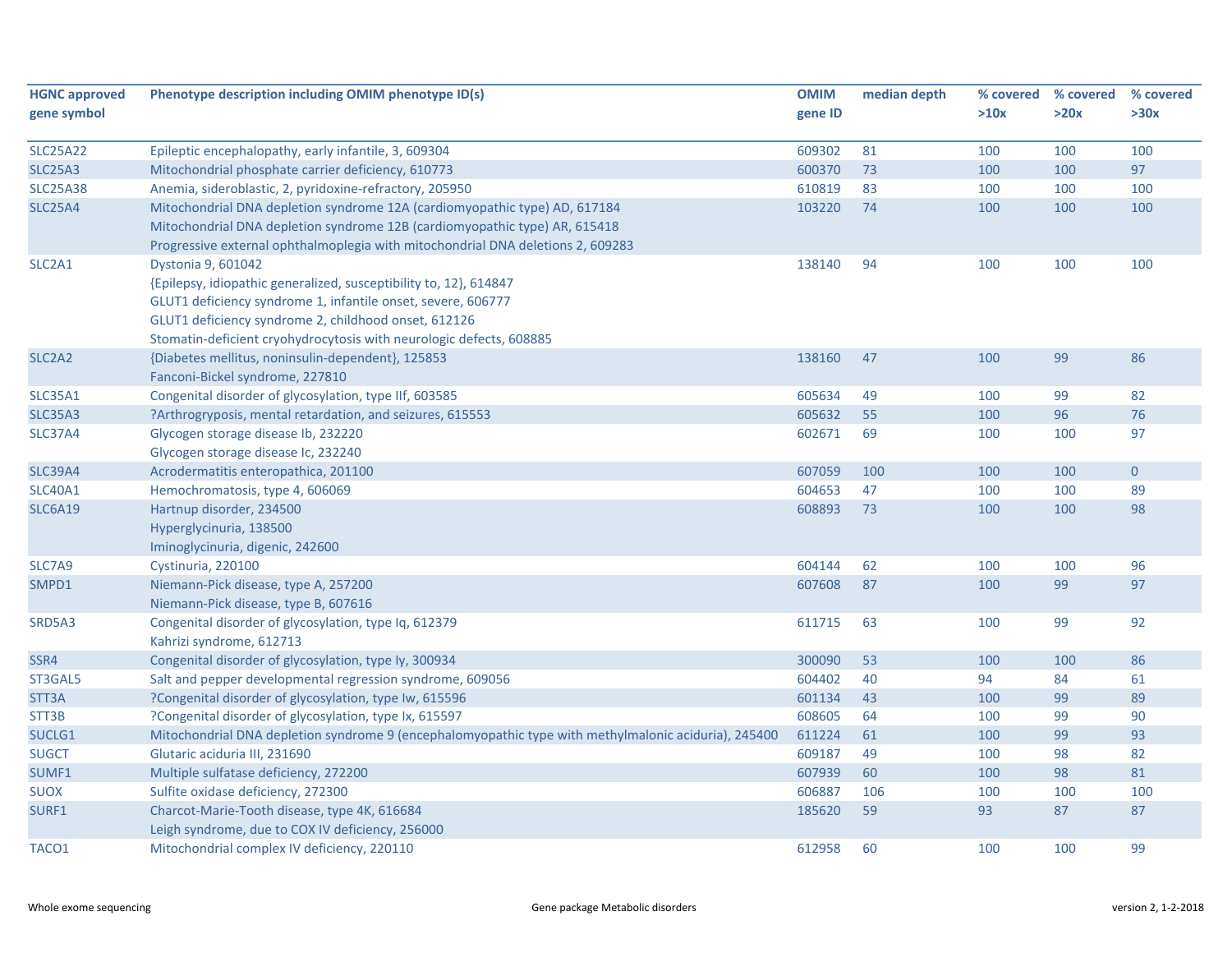| <b>HGNC approved</b>            | Phenotype description including OMIM phenotype ID(s)                                                 | <b>OMIM</b> | median depth |      | % covered % covered | % covered      |
|---------------------------------|------------------------------------------------------------------------------------------------------|-------------|--------------|------|---------------------|----------------|
| gene symbol                     |                                                                                                      | gene ID     |              | >10x | >20x                | >30x           |
| <b>SLC25A22</b>                 | Epileptic encephalopathy, early infantile, 3, 609304                                                 | 609302      | 81           | 100  | 100                 | 100            |
| <b>SLC25A3</b>                  | Mitochondrial phosphate carrier deficiency, 610773                                                   | 600370      | 73           | 100  | 100                 | 97             |
| <b>SLC25A38</b>                 | Anemia, sideroblastic, 2, pyridoxine-refractory, 205950                                              | 610819      | 83           | 100  | 100                 | 100            |
| <b>SLC25A4</b>                  | Mitochondrial DNA depletion syndrome 12A (cardiomyopathic type) AD, 617184                           | 103220      | 74           | 100  | 100                 | 100            |
|                                 | Mitochondrial DNA depletion syndrome 12B (cardiomyopathic type) AR, 615418                           |             |              |      |                     |                |
|                                 | Progressive external ophthalmoplegia with mitochondrial DNA deletions 2, 609283                      |             |              |      |                     |                |
| SLC <sub>2</sub> A <sub>1</sub> | Dystonia 9, 601042                                                                                   | 138140      | 94           | 100  | 100                 | 100            |
|                                 | {Epilepsy, idiopathic generalized, susceptibility to, 12}, 614847                                    |             |              |      |                     |                |
|                                 | GLUT1 deficiency syndrome 1, infantile onset, severe, 606777                                         |             |              |      |                     |                |
|                                 | GLUT1 deficiency syndrome 2, childhood onset, 612126                                                 |             |              |      |                     |                |
|                                 | Stomatin-deficient cryohydrocytosis with neurologic defects, 608885                                  |             |              |      |                     |                |
| SLC <sub>2</sub> A <sub>2</sub> | {Diabetes mellitus, noninsulin-dependent}, 125853                                                    | 138160      | 47           | 100  | 99                  | 86             |
|                                 | Fanconi-Bickel syndrome, 227810                                                                      |             |              |      |                     |                |
| <b>SLC35A1</b>                  | Congenital disorder of glycosylation, type IIf, 603585                                               | 605634      | 49           | 100  | 99                  | 82             |
| <b>SLC35A3</b>                  | ?Arthrogryposis, mental retardation, and seizures, 615553                                            | 605632      | 55           | 100  | 96                  | 76             |
| <b>SLC37A4</b>                  | Glycogen storage disease Ib, 232220                                                                  | 602671      | 69           | 100  | 100                 | 97             |
|                                 | Glycogen storage disease Ic, 232240                                                                  |             |              |      |                     |                |
| <b>SLC39A4</b>                  | Acrodermatitis enteropathica, 201100                                                                 | 607059      | 100          | 100  | 100                 | $\overline{0}$ |
| <b>SLC40A1</b>                  | Hemochromatosis, type 4, 606069                                                                      | 604653      | 47           | 100  | 100                 | 89             |
| <b>SLC6A19</b>                  | Hartnup disorder, 234500                                                                             | 608893      | 73           | 100  | 100                 | 98             |
|                                 | Hyperglycinuria, 138500                                                                              |             |              |      |                     |                |
|                                 | Iminoglycinuria, digenic, 242600                                                                     |             |              |      |                     |                |
| SLC7A9                          | Cystinuria, 220100                                                                                   | 604144      | 62           | 100  | 100                 | 96             |
| SMPD1                           | Niemann-Pick disease, type A, 257200                                                                 | 607608      | 87           | 100  | 99                  | 97             |
|                                 | Niemann-Pick disease, type B, 607616                                                                 |             |              |      |                     |                |
| SRD5A3                          | Congenital disorder of glycosylation, type Iq, 612379                                                | 611715      | 63           | 100  | 99                  | 92             |
|                                 | Kahrizi syndrome, 612713                                                                             |             |              |      |                     |                |
| SSR4                            | Congenital disorder of glycosylation, type Iy, 300934                                                | 300090      | 53           | 100  | 100                 | 86             |
| ST3GAL5                         | Salt and pepper developmental regression syndrome, 609056                                            | 604402      | 40           | 94   | 84                  | 61             |
| STT3A                           | ?Congenital disorder of glycosylation, type Iw, 615596                                               | 601134      | 43           | 100  | 99                  | 89             |
| STT3B                           | ?Congenital disorder of glycosylation, type Ix, 615597                                               | 608605      | 64           | 100  | 99                  | 90             |
| SUCLG1                          | Mitochondrial DNA depletion syndrome 9 (encephalomyopathic type with methylmalonic aciduria), 245400 | 611224      | 61           | 100  | 99                  | 93             |
| <b>SUGCT</b>                    | Glutaric aciduria III, 231690                                                                        | 609187      | 49           | 100  | 98                  | 82             |
| SUMF1                           | Multiple sulfatase deficiency, 272200                                                                | 607939      | 60           | 100  | 98                  | 81             |
| SUOX                            | Sulfite oxidase deficiency, 272300                                                                   | 606887      | 106          | 100  | 100                 | 100            |
| SURF1                           | Charcot-Marie-Tooth disease, type 4K, 616684                                                         | 185620      | 59           | 93   | 87                  | 87             |
|                                 | Leigh syndrome, due to COX IV deficiency, 256000                                                     |             |              |      |                     |                |
| TACO1                           | Mitochondrial complex IV deficiency, 220110                                                          | 612958      | 60           | 100  | 100                 | 99             |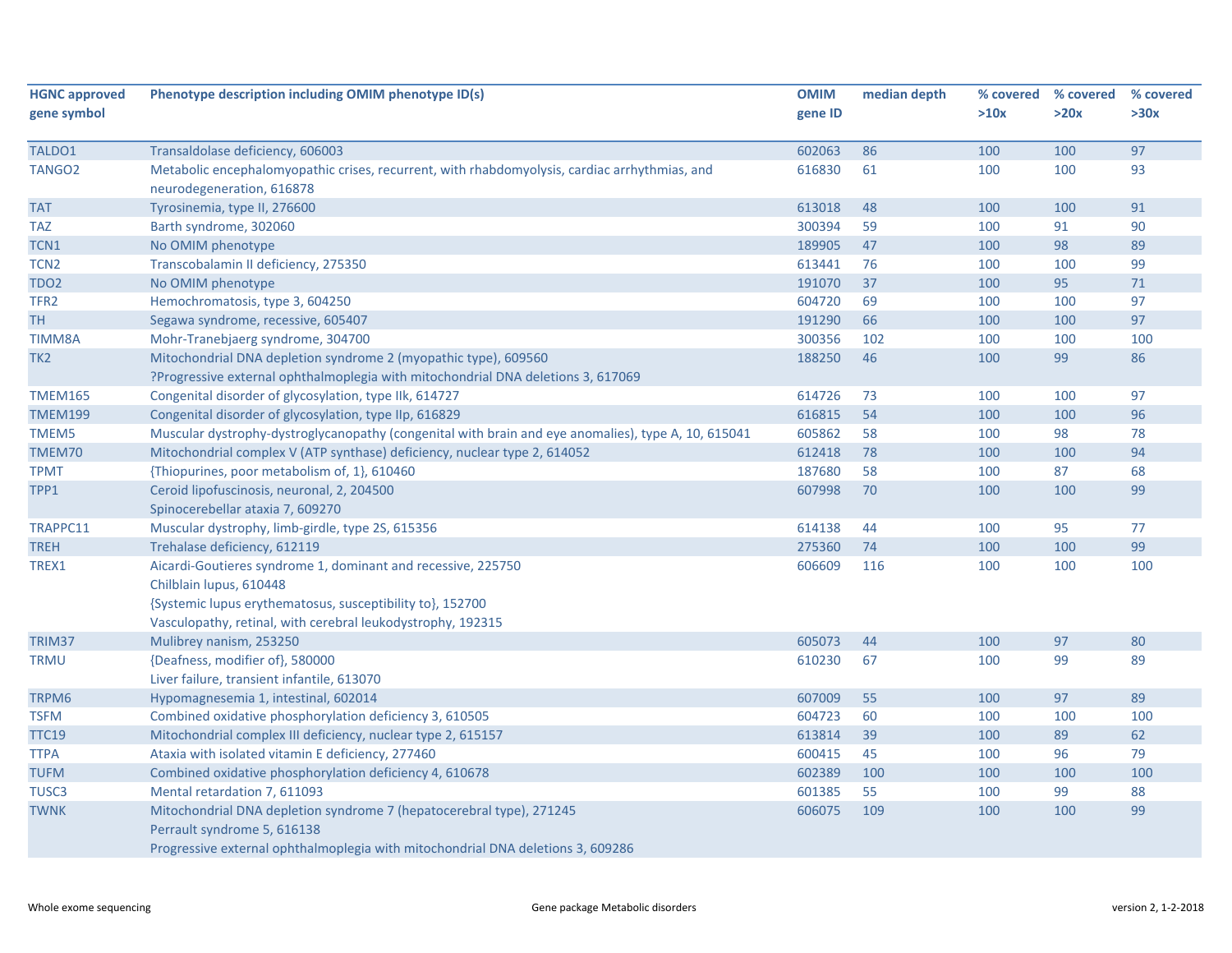| <b>HGNC approved</b><br>gene symbol | Phenotype description including OMIM phenotype ID(s)                                                | <b>OMIM</b><br>gene ID | median depth | % covered<br>>10x | % covered<br>>20x | % covered<br>>30x |
|-------------------------------------|-----------------------------------------------------------------------------------------------------|------------------------|--------------|-------------------|-------------------|-------------------|
|                                     |                                                                                                     |                        |              |                   |                   |                   |
| TALDO1                              | Transaldolase deficiency, 606003                                                                    | 602063                 | 86           | 100               | 100               | 97                |
| TANGO <sub>2</sub>                  | Metabolic encephalomyopathic crises, recurrent, with rhabdomyolysis, cardiac arrhythmias, and       | 616830                 | 61           | 100               | 100               | 93                |
|                                     | neurodegeneration, 616878                                                                           |                        |              |                   |                   |                   |
| <b>TAT</b>                          | Tyrosinemia, type II, 276600                                                                        | 613018                 | 48           | 100               | 100               | 91                |
| <b>TAZ</b>                          | Barth syndrome, 302060                                                                              | 300394                 | 59           | 100               | 91                | 90                |
| TCN1                                | No OMIM phenotype                                                                                   | 189905                 | 47           | 100               | 98                | 89                |
| TCN <sub>2</sub>                    | Transcobalamin II deficiency, 275350                                                                | 613441                 | 76           | 100               | 100               | 99                |
| <b>TDO2</b>                         | No OMIM phenotype                                                                                   | 191070                 | 37           | 100               | 95                | 71                |
| TFR <sub>2</sub>                    | Hemochromatosis, type 3, 604250                                                                     | 604720                 | 69           | 100               | 100               | 97                |
| <b>TH</b>                           | Segawa syndrome, recessive, 605407                                                                  | 191290                 | 66           | 100               | 100               | 97                |
| <b>TIMM8A</b>                       | Mohr-Tranebjaerg syndrome, 304700                                                                   | 300356                 | 102          | 100               | 100               | 100               |
| TK <sub>2</sub>                     | Mitochondrial DNA depletion syndrome 2 (myopathic type), 609560                                     | 188250                 | 46           | 100               | 99                | 86                |
|                                     | ?Progressive external ophthalmoplegia with mitochondrial DNA deletions 3, 617069                    |                        |              |                   |                   |                   |
| <b>TMEM165</b>                      | Congenital disorder of glycosylation, type IIk, 614727                                              | 614726                 | 73           | 100               | 100               | 97                |
| <b>TMEM199</b>                      | Congenital disorder of glycosylation, type IIp, 616829                                              | 616815                 | 54           | 100               | 100               | 96                |
| TMEM5                               | Muscular dystrophy-dystroglycanopathy (congenital with brain and eye anomalies), type A, 10, 615041 | 605862                 | 58           | 100               | 98                | 78                |
| TMEM70                              | Mitochondrial complex V (ATP synthase) deficiency, nuclear type 2, 614052                           | 612418                 | 78           | 100               | 100               | 94                |
| <b>TPMT</b>                         | {Thiopurines, poor metabolism of, 1}, 610460                                                        | 187680                 | 58           | 100               | 87                | 68                |
| TPP1                                | Ceroid lipofuscinosis, neuronal, 2, 204500                                                          | 607998                 | 70           | 100               | 100               | 99                |
|                                     | Spinocerebellar ataxia 7, 609270                                                                    |                        |              |                   |                   |                   |
| TRAPPC11                            | Muscular dystrophy, limb-girdle, type 2S, 615356                                                    | 614138                 | 44           | 100               | 95                | 77                |
| <b>TREH</b>                         | Trehalase deficiency, 612119                                                                        | 275360                 | 74           | 100               | 100               | 99                |
| TREX1                               | Aicardi-Goutieres syndrome 1, dominant and recessive, 225750                                        | 606609                 | 116          | 100               | 100               | 100               |
|                                     | Chilblain lupus, 610448                                                                             |                        |              |                   |                   |                   |
|                                     | {Systemic lupus erythematosus, susceptibility to}, 152700                                           |                        |              |                   |                   |                   |
|                                     | Vasculopathy, retinal, with cerebral leukodystrophy, 192315                                         |                        |              |                   |                   |                   |
| TRIM37                              | Mulibrey nanism, 253250                                                                             | 605073                 | 44           | 100               | 97                | 80                |
| <b>TRMU</b>                         | {Deafness, modifier of}, 580000                                                                     | 610230                 | 67           | 100               | 99                | 89                |
|                                     | Liver failure, transient infantile, 613070                                                          |                        |              |                   |                   |                   |
| TRPM6                               | Hypomagnesemia 1, intestinal, 602014                                                                | 607009                 | 55           | 100               | 97                | 89                |
| <b>TSFM</b>                         | Combined oxidative phosphorylation deficiency 3, 610505                                             | 604723                 | 60           | 100               | 100               | 100               |
| <b>TTC19</b>                        | Mitochondrial complex III deficiency, nuclear type 2, 615157                                        | 613814                 | 39           | 100               | 89                | 62                |
| <b>TTPA</b>                         | Ataxia with isolated vitamin E deficiency, 277460                                                   | 600415                 | 45           | 100               | 96                | 79                |
| <b>TUFM</b>                         | Combined oxidative phosphorylation deficiency 4, 610678                                             | 602389                 | 100          | 100               | 100               | 100               |
| TUSC <sub>3</sub>                   | Mental retardation 7, 611093                                                                        | 601385                 | 55           | 100               | 99                | 88                |
| <b>TWNK</b>                         | Mitochondrial DNA depletion syndrome 7 (hepatocerebral type), 271245                                | 606075                 | 109          | 100               | 100               | 99                |
|                                     | Perrault syndrome 5, 616138                                                                         |                        |              |                   |                   |                   |
|                                     | Progressive external ophthalmoplegia with mitochondrial DNA deletions 3, 609286                     |                        |              |                   |                   |                   |